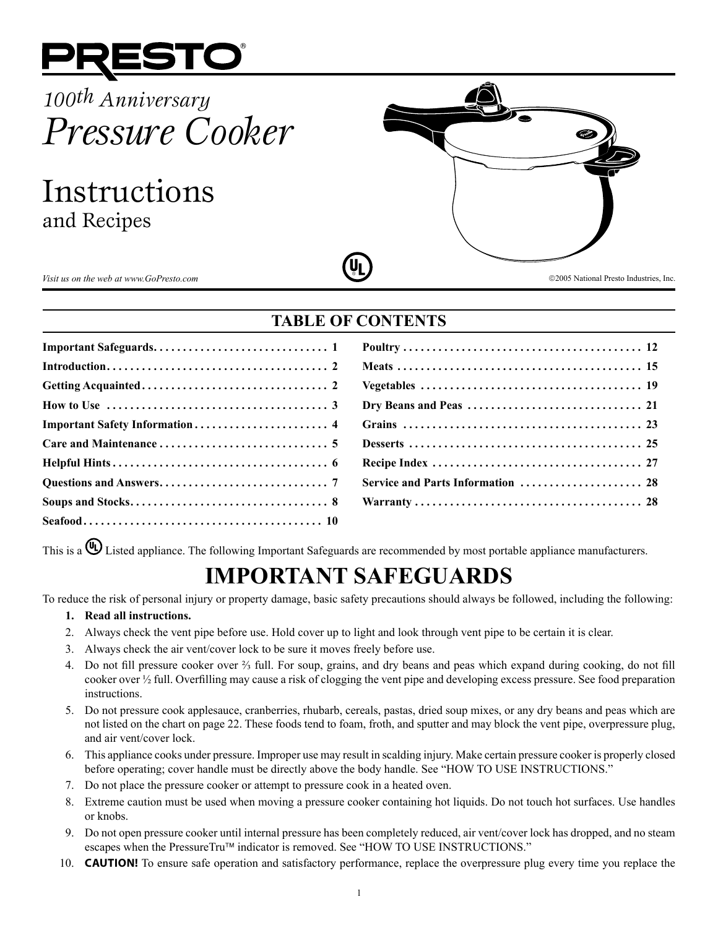

# *100th Anniversary Pressure Cooker*

Instructions and Recipes



# **TABLE OF CONTENTS**

| Service and Parts Information  28 |
|-----------------------------------|
|                                   |

This is a  $\bigoplus$  Listed appliance. The following Important Safeguards are recommended by most portable appliance manufacturers.

# **IMPORTANT SAFEGUARDS**

To reduce the risk of personal injury or property damage, basic safety precautions should always be followed, including the following:

# **1. Read all instructions.**

- 2. Always check the vent pipe before use. Hold cover up to light and look through vent pipe to be certain it is clear.
- 3. Always check the air vent/cover lock to be sure it moves freely before use.
- 4. Do not fill pressure cooker over ⅔ full. For soup, grains, and dry beans and peas which expand during cooking, do not fill cooker over ½ full. Overfilling may cause a risk of clogging the vent pipe and developing excess pressure. See food preparation instructions.
- 5. Do not pressure cook applesauce, cranberries, rhubarb, cereals, pastas, dried soup mixes, or any dry beans and peas which are not listed on the chart on page 22. These foods tend to foam, froth, and sputter and may block the vent pipe, overpressure plug, and air vent/cover lock.
- 6. This appliance cooks under pressure. Improper use may result in scalding injury. Make certain pressure cooker is properly closed before operating; cover handle must be directly above the body handle. See "HOW TO USE INSTRUCTIONS."
- 7. Do not place the pressure cooker or attempt to pressure cook in a heated oven.
- 8. Extreme caution must be used when moving a pressure cooker containing hot liquids. Do not touch hot surfaces. Use handles or knobs.
- 9. Do not open pressure cooker until internal pressure has been completely reduced, air vent/cover lock has dropped, and no steam escapes when the PressureTru™ indicator is removed. See "HOW TO USE INSTRUCTIONS."
- 10. **CAUTION!** To ensure safe operation and satisfactory performance, replace the overpressure plug every time you replace the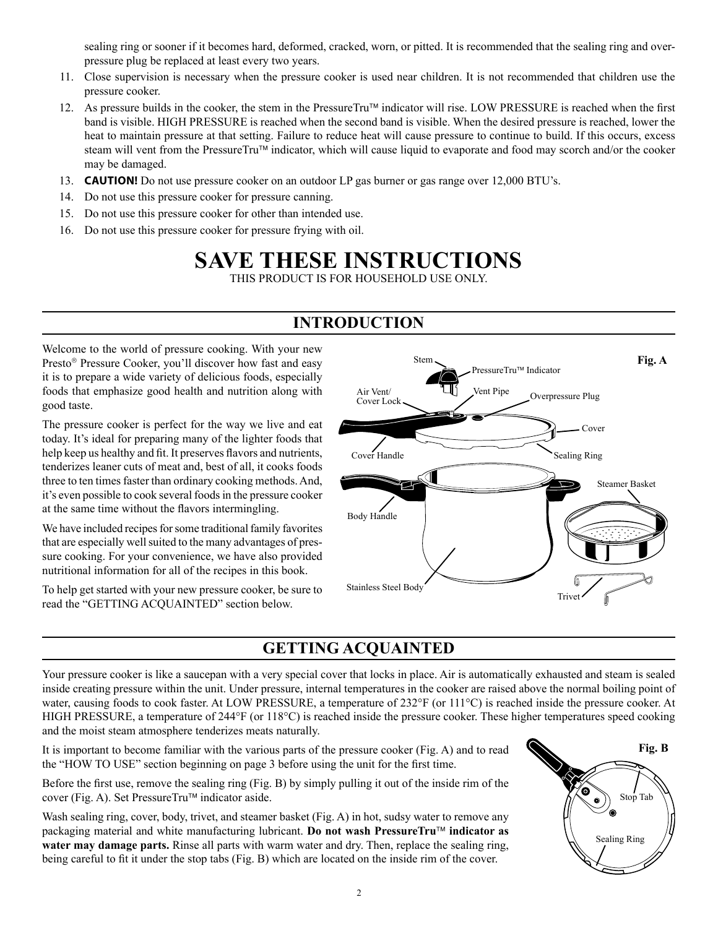sealing ring or sooner if it becomes hard, deformed, cracked, worn, or pitted. It is recommended that the sealing ring and overpressure plug be replaced at least every two years.

- 11. Close supervision is necessary when the pressure cooker is used near children. It is not recommended that children use the pressure cooker.
- 12. As pressure builds in the cooker, the stem in the PressureTru<sup> $M$ </sup> indicator will rise. LOW PRESSURE is reached when the first band is visible. HIGH PRESSURE is reached when the second band is visible. When the desired pressure is reached, lower the heat to maintain pressure at that setting. Failure to reduce heat will cause pressure to continue to build. If this occurs, excess steam will vent from the PressureTru<sup>™</sup> indicator, which will cause liquid to evaporate and food may scorch and/or the cooker may be damaged.
- 13. **CAUTION!** Do not use pressure cooker on an outdoor LP gas burner or gas range over 12,000 BTU's.
- 14. Do not use this pressure cooker for pressure canning.
- 15. Do not use this pressure cooker for other than intended use.
- 16. Do not use this pressure cooker for pressure frying with oil.

# **SAVE THESE INSTRUCTIONS**

THIS PRODUCT IS FOR HOUSEHOLD USE ONLY.

# **INTRODUCTION**

Welcome to the world of pressure cooking. With your new Presto<sup>®</sup> Pressure Cooker, you'll discover how fast and easy it is to prepare a wide variety of delicious foods, especially foods that emphasize good health and nutrition along with good taste.

The pressure cooker is perfect for the way we live and eat today. It's ideal for preparing many of the lighter foods that help keep us healthy and fit. It preserves flavors and nutrients, tenderizes leaner cuts of meat and, best of all, it cooks foods three to ten times faster than ordinary cooking methods. And, it's even possible to cook several foods in the pressure cooker at the same time without the flavors intermingling.

We have included recipes for some traditional family favorites that are especially well suited to the many advantages of pressure cooking. For your convenience, we have also provided nutritional information for all of the recipes in this book.

To help get started with your new pressure cooker, be sure to read the "GETTING ACQUAINTED" section below.



# **GETTING ACQUAINTED**

Your pressure cooker is like a saucepan with a very special cover that locks in place. Air is automatically exhausted and steam is sealed inside creating pressure within the unit. Under pressure, internal temperatures in the cooker are raised above the normal boiling point of water, causing foods to cook faster. At LOW PRESSURE, a temperature of 232°F (or 111°C) is reached inside the pressure cooker. At HIGH PRESSURE, a temperature of 244°F (or 118°C) is reached inside the pressure cooker. These higher temperatures speed cooking and the moist steam atmosphere tenderizes meats naturally.

It is important to become familiar with the various parts of the pressure cooker (Fig. A) and to read the "HOW TO USE" section beginning on page 3 before using the unit for the first time.

Before the first use, remove the sealing ring (Fig. B) by simply pulling it out of the inside rim of the cover (Fig. A). Set Pressure $Tru^{\dagger M}$  indicator aside.

Wash sealing ring, cover, body, trivet, and steamer basket (Fig. A) in hot, sudsy water to remove any packaging material and white manufacturing lubricant. **Do not wash PressureTru™ indicator as water may damage parts.** Rinse all parts with warm water and dry. Then, replace the sealing ring, being careful to fit it under the stop tabs (Fig. B) which are located on the inside rim of the cover.

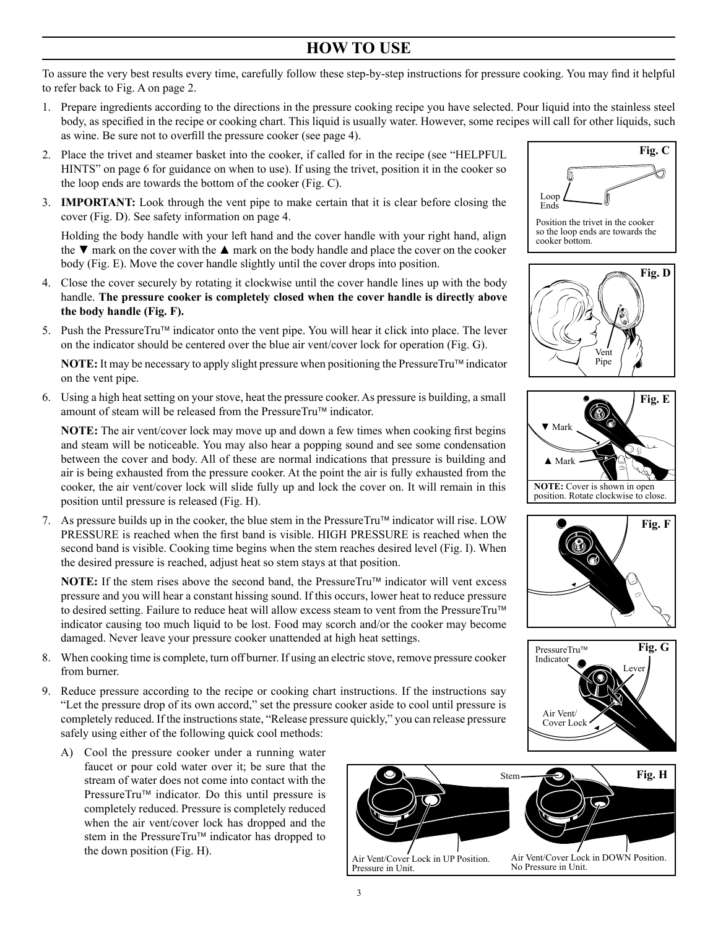# **HOW TO USE**

To assure the very best results every time, carefully follow these step-by-step instructions for pressure cooking. You may find it helpful to refer back to Fig. A on page 2.

- 1. Prepare ingredients according to the directions in the pressure cooking recipe you have selected. Pour liquid into the stainless steel body, as specified in the recipe or cooking chart. This liquid is usually water. However, some recipes will call for other liquids, such as wine. Be sure not to overfill the pressure cooker (see page 4).
- 2. Place the trivet and steamer basket into the cooker, if called for in the recipe (see "HELPFUL HINTS" on page 6 for guidance on when to use). If using the trivet, position it in the cooker so the loop ends are towards the bottom of the cooker (Fig. C).
- 3. **IMPORTANT:** Look through the vent pipe to make certain that it is clear before closing the cover (Fig. D). See safety information on page 4.

Holding the body handle with your left hand and the cover handle with your right hand, align the  $\nabla$  mark on the cover with the  $\blacktriangle$  mark on the body handle and place the cover on the cooker body (Fig. E). Move the cover handle slightly until the cover drops into position.

- 4. Close the cover securely by rotating it clockwise until the cover handle lines up with the body handle. **The pressure cooker is completely closed when the cover handle is directly above the body handle (Fig. F).**
- 5. Push the PressureTru™ indicator onto the vent pipe. You will hear it click into place. The lever on the indicator should be centered over the blue air vent/cover lock for operation (Fig. G).

**NOTE:** It may be necessary to apply slight pressure when positioning the PressureTru<sup> $M$ </sup> indicator on the vent pipe.

6. Using a high heat setting on your stove, heat the pressure cooker. As pressure is building, a small amount of steam will be released from the PressureTru™ indicator.

**NOTE:** The air vent/cover lock may move up and down a few times when cooking first begins and steam will be noticeable. You may also hear a popping sound and see some condensation between the cover and body. All of these are normal indications that pressure is building and air is being exhausted from the pressure cooker. At the point the air is fully exhausted from the cooker, the air vent/cover lock will slide fully up and lock the cover on. It will remain in this position until pressure is released (Fig. H).

7. As pressure builds up in the cooker, the blue stem in the PressureTru<sup> $\text{m}$ </sup> indicator will rise. LOW PRESSURE is reached when the first band is visible. HIGH PRESSURE is reached when the second band is visible. Cooking time begins when the stem reaches desired level (Fig. I). When the desired pressure is reached, adjust heat so stem stays at that position.

**NOTE:** If the stem rises above the second band, the PressureTru<sup> $M$ </sup> indicator will vent excess pressure and you will hear a constant hissing sound. If this occurs, lower heat to reduce pressure to desired setting. Failure to reduce heat will allow excess steam to vent from the PressureTru™ indicator causing too much liquid to be lost. Food may scorch and/or the cooker may become damaged. Never leave your pressure cooker unattended at high heat settings.

- 8. When cooking time is complete, turn off burner. If using an electric stove, remove pressure cooker from burner.
- 9. Reduce pressure according to the recipe or cooking chart instructions. If the instructions say "Let the pressure drop of its own accord," set the pressure cooker aside to cool until pressure is completely reduced. If the instructionsstate, "Release pressure quickly," you can release pressure safely using either of the following quick cool methods:
	- A) Cool the pressure cooker under a running water faucet or pour cold water over it; be sure that the stream of water does not come into contact with the Pressure $Tru^{\dagger}$  indicator. Do this until pressure is completely reduced. Pressure is completely reduced when the air vent/cover lock has dropped and the stem in the PressureTru™ indicator has dropped to the down position (Fig. H).













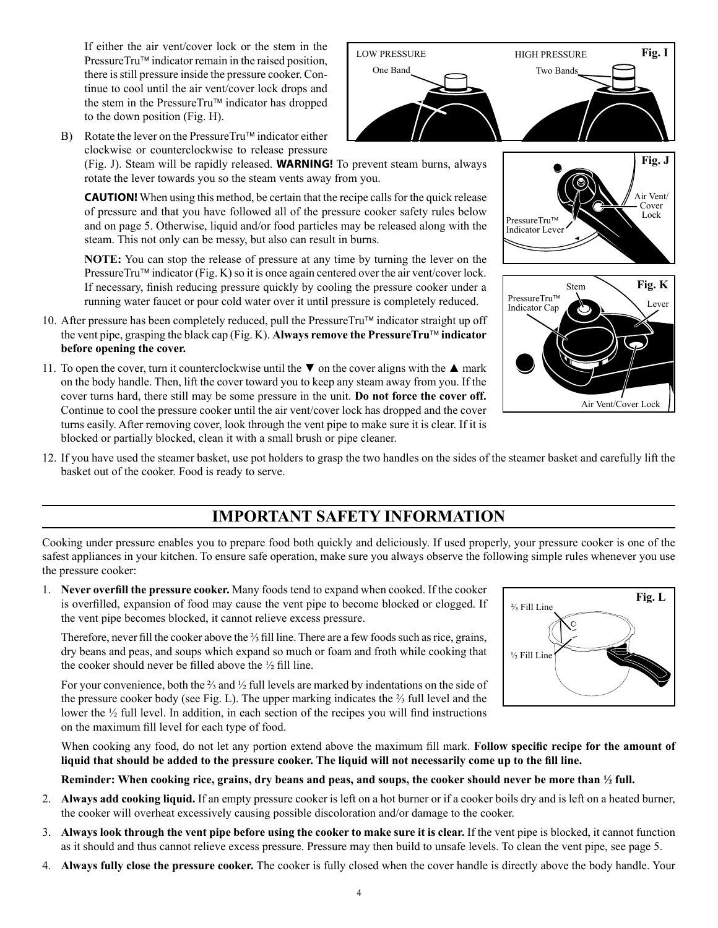If either the air vent/cover lock or the stem in the PressureTru™ indicator remain in the raised position, there is still pressure inside the pressure cooker. Continue to cool until the air vent/cover lock drops and the stem in the PressureTru™ indicator has dropped to the down position (Fig. H).

B) Rotate the lever on the PressureTru<sup>TM</sup> indicator either clockwise or counterclockwise to release pressure

(Fig. J). Steam will be rapidly released. **WARNING!** To prevent steam burns, always rotate the lever towards you so the steam vents away from you.

**CAUTION!** When using this method, be certain that the recipe calls for the quick release of pressure and that you have followed all of the pressure cooker safety rules below and on page 5. Otherwise, liquid and/or food particles may be released along with the steam. This not only can be messy, but also can result in burns.

**NOTE:** You can stop the release of pressure at any time by turning the lever on the PressureTru<sup>™</sup> indicator (Fig. K) so it is once again centered over the air vent/cover lock. If necessary, finish reducing pressure quickly by cooling the pressure cooker under a running water faucet or pour cold water over it until pressure is completely reduced.

- 10. After pressure has been completely reduced, pull the PressureTru<sup> $\text{m}$ </sup> indicator straight up off the vent pipe, grasping the black cap (Fig. K). **Always remove the PressureTru™ indicator before opening the cover.**
- 11. To open the cover, turn it counterclockwise until the  $\blacktriangledown$  on the cover aligns with the  $\blacktriangle$  mark on the body handle. Then, lift the cover toward you to keep any steam away from you. If the cover turns hard, there still may be some pressure in the unit. **Do not force the cover off.** Continue to cool the pressure cooker until the air vent/cover lock has dropped and the cover turns easily. After removing cover, look through the vent pipe to make sure it is clear. If it is blocked or partially blocked, clean it with a small brush or pipe cleaner.



12. If you have used the steamer basket, use pot holders to grasp the two handles on the sides of the steamer basket and carefully lift the basket out of the cooker. Food is ready to serve.

# **IMPORTANT SAFETY INFORMATION**

Cooking under pressure enables you to prepare food both quickly and deliciously. If used properly, your pressure cooker is one of the safest appliances in your kitchen. To ensure safe operation, make sure you always observe the following simple rules whenever you use the pressure cooker:

1. **Never overfill the pressure cooker.** Many foods tend to expand when cooked. If the cooker is overfilled, expansion of food may cause the vent pipe to become blocked or clogged. If the vent pipe becomes blocked, it cannot relieve excess pressure.

Therefore, never fill the cooker above the <sup>2</sup>/<sub>3</sub> fill line. There are a few foods such as rice, grains, dry beans and peas, and soups which expand so much or foam and froth while cooking that the cooker should never be filled above the  $\frac{1}{2}$  fill line.

 For your convenience, both the ⅔ and ½ full levels are marked by indentations on the side of the pressure cooker body (see Fig. L). The upper marking indicates the  $\frac{2}{3}$  full level and the lower the ½ full level. In addition, in each section of the recipes you will find instructions on the maximum fill level for each type of food.

 When cooking any food, do not let any portion extend above the maximum fill mark. **Follow specific recipe for the amount of liquid that should be added to the pressure cooker. The liquid will not necessarily come up to the fill line.** 

**Reminder: When cooking rice, grains, dry beans and peas, and soups, the cooker should never be more than ½ full.**

- 2. **Always add cooking liquid.** If an empty pressure cooker is left on a hot burner or if a cooker boils dry and is left on a heated burner, the cooker will overheat excessively causing possible discoloration and/or damage to the cooker.
- 3. **Always look through the vent pipe before using the cooker to make sure it is clear.** If the vent pipe is blocked, it cannot function as it should and thus cannot relieve excess pressure. Pressure may then build to unsafe levels. To clean the vent pipe, see page 5.
- 4. **Always fully close the pressure cooker.** The cooker is fully closed when the cover handle is directly above the body handle. Your



Air Vent/Cover Lock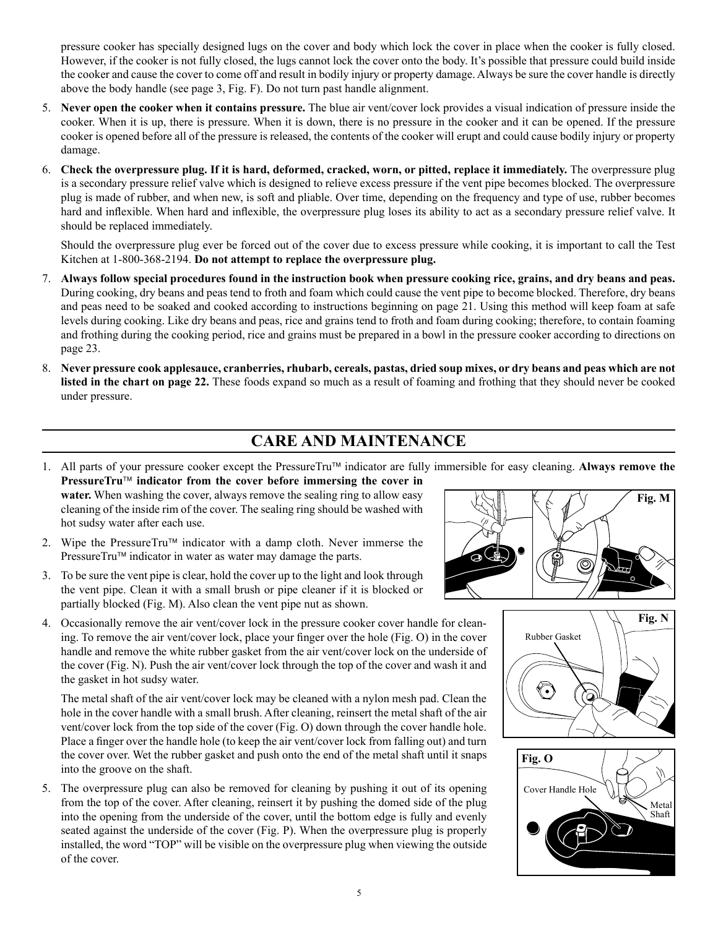pressure cooker has specially designed lugs on the cover and body which lock the cover in place when the cooker is fully closed. However, if the cooker is not fully closed, the lugs cannot lock the cover onto the body. It's possible that pressure could build inside the cooker and cause the cover to come off and result in bodily injury or property damage. Always be sure the cover handle is directly above the body handle (see page 3, Fig. F). Do not turn past handle alignment.

- 5. **Never open the cooker when it contains pressure.** The blue air vent/cover lock provides a visual indication of pressure inside the cooker. When it is up, there is pressure. When it is down, there is no pressure in the cooker and it can be opened. If the pressure cooker is opened before all of the pressure is released, the contents of the cooker will erupt and could cause bodily injury or property damage.
- 6. **Check the overpressure plug. If it is hard, deformed, cracked, worn, or pitted, replace it immediately.** The overpressure plug is a secondary pressure relief valve which is designed to relieve excess pressure if the vent pipe becomes blocked. The overpressure plug is made of rubber, and when new, is soft and pliable. Over time, depending on the frequency and type of use, rubber becomes hard and inflexible. When hard and inflexible, the overpressure plug loses its ability to act as a secondary pressure relief valve. It should be replaced immediately.

 Should the overpressure plug ever be forced out of the cover due to excess pressure while cooking, it is important to call the Test Kitchen at 1-800-368-2194. **Do not attempt to replace the overpressure plug.**

- 7. **Always follow special procedures found in the instruction book when pressure cooking rice, grains, and dry beans and peas.** During cooking, dry beans and peas tend to froth and foam which could cause the vent pipe to become blocked. Therefore, dry beans and peas need to be soaked and cooked according to instructions beginning on page 21. Using this method will keep foam at safe levels during cooking. Like dry beans and peas, rice and grains tend to froth and foam during cooking; therefore, to contain foaming and frothing during the cooking period, rice and grains must be prepared in a bowl in the pressure cooker according to directions on page 23.
- 8. **Never pressure cook applesauce, cranberries, rhubarb, cereals, pastas, dried soup mixes, or dry beans and peas which are not listed in the chart on page 22.** These foods expand so much as a result of foaming and frothing that they should never be cooked under pressure.

# **CARE AND MAINTENANCE**

- 1. All parts of your pressure cooker except the PressureTru™ indicator are fully immersible for easy cleaning. Always remove the
- **PressureTru indicator from the cover before immersing the cover in water.** When washing the cover, always remove the sealing ring to allow easy cleaning of the inside rim of the cover. The sealing ring should be washed with hot sudsy water after each use.
- 2. Wipe the PressureTru™ indicator with a damp cloth. Never immerse the Pressure $Tru^{\dagger}$  indicator in water as water may damage the parts.
- 3. To be sure the vent pipe is clear, hold the cover up to the light and look through the vent pipe. Clean it with a small brush or pipe cleaner if it is blocked or partially blocked (Fig. M). Also clean the vent pipe nut as shown.
- 4. Occasionally remove the air vent/cover lock in the pressure cooker cover handle for cleaning. To remove the air vent/cover lock, place your finger over the hole (Fig. O) in the cover handle and remove the white rubber gasket from the air vent/cover lock on the underside of the cover (Fig. N). Push the air vent/cover lock through the top of the cover and wash it and the gasket in hot sudsy water.

The metal shaft of the air vent/cover lock may be cleaned with a nylon mesh pad. Clean the hole in the cover handle with a small brush. After cleaning, reinsert the metal shaft of the air vent/cover lock from the top side of the cover (Fig. O) down through the cover handle hole. Place a finger over the handle hole (to keep the air vent/cover lock from falling out) and turn the cover over. Wet the rubber gasket and push onto the end of the metal shaft until it snaps into the groove on the shaft.

5. The overpressure plug can also be removed for cleaning by pushing it out of its opening from the top of the cover. After cleaning, reinsert it by pushing the domed side of the plug into the opening from the underside of the cover, until the bottom edge is fully and evenly seated against the underside of the cover (Fig. P). When the overpressure plug is properly installed, the word "TOP" will be visible on the overpressure plug when viewing the outside of the cover.





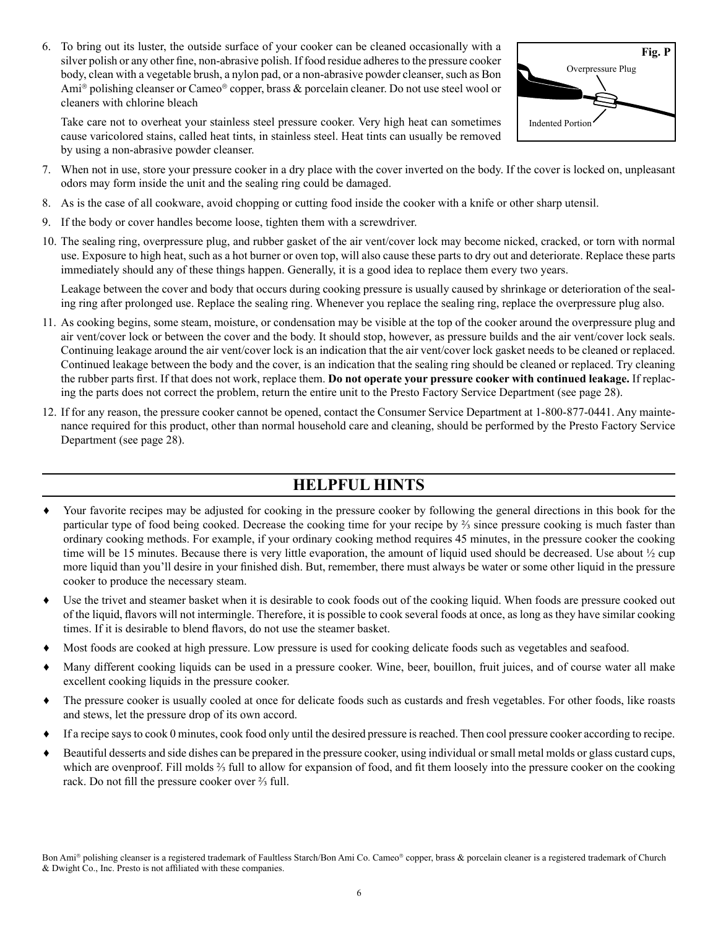6. To bring out its luster, the outside surface of your cooker can be cleaned occasionally with a silver polish or any other fine, non-abrasive polish. If food residue adheres to the pressure cooker body, clean with a vegetable brush, a nylon pad, or a non-abrasive powder cleanser, such as Bon Ami® polishing cleanser or Cameo® copper, brass & porcelain cleaner. Do not use steel wool or cleaners with chlorine bleach

Take care not to overheat your stainless steel pressure cooker. Very high heat can sometimes cause varicolored stains, called heat tints, in stainless steel. Heat tints can usually be removed by using a non-abrasive powder cleanser.



- 7. When not in use, store your pressure cooker in a dry place with the cover inverted on the body. If the cover is locked on, unpleasant odors may form inside the unit and the sealing ring could be damaged.
- 8. As is the case of all cookware, avoid chopping or cutting food inside the cooker with a knife or other sharp utensil.
- 9. If the body or cover handles become loose, tighten them with a screwdriver.
- 10. The sealing ring, overpressure plug, and rubber gasket of the air vent/cover lock may become nicked, cracked, or torn with normal use. Exposure to high heat, such as a hot burner or oven top, will also cause these parts to dry out and deteriorate. Replace these parts immediately should any of these things happen. Generally, it is a good idea to replace them every two years.

Leakage between the cover and body that occurs during cooking pressure is usually caused by shrinkage or deterioration of the sealing ring after prolonged use. Replace the sealing ring. Whenever you replace the sealing ring, replace the overpressure plug also.

- 11. As cooking begins, some steam, moisture, or condensation may be visible at the top of the cooker around the overpressure plug and air vent/cover lock or between the cover and the body. It should stop, however, as pressure builds and the air vent/cover lock seals. Continuing leakage around the air vent/cover lock is an indication that the air vent/cover lock gasket needs to be cleaned or replaced. Continued leakage between the body and the cover, is an indication that the sealing ring should be cleaned or replaced. Try cleaning the rubber parts first. If that does not work, replace them. **Do not operate your pressure cooker with continued leakage.** If replacing the parts does not correct the problem, return the entire unit to the Presto Factory Service Department (see page 28).
- 12. If for any reason, the pressure cooker cannot be opened, contact the Consumer Service Department at 1-800-877-0441. Any maintenance required for this product, other than normal household care and cleaning, should be performed by the Presto Factory Service Department (see page 28).

# **HELPFUL HINTS**

- Your favorite recipes may be adjusted for cooking in the pressure cooker by following the general directions in this book for the particular type of food being cooked. Decrease the cooking time for your recipe by ⅔ since pressure cooking is much faster than ordinary cooking methods. For example, if your ordinary cooking method requires 45 minutes, in the pressure cooker the cooking time will be 15 minutes. Because there is very little evaporation, the amount of liquid used should be decreased. Use about  $\frac{1}{2}$  cup more liquid than you'll desire in your finished dish. But, remember, there must always be water or some other liquid in the pressure cooker to produce the necessary steam.
- ♦ Use the trivet and steamer basket when it is desirable to cook foods out of the cooking liquid. When foods are pressure cooked out of the liquid, flavors will not intermingle. Therefore, it is possible to cook several foods at once, as long as they have similar cooking times. If it is desirable to blend flavors, do not use the steamer basket.
- Most foods are cooked at high pressure. Low pressure is used for cooking delicate foods such as vegetables and seafood.
- Many different cooking liquids can be used in a pressure cooker. Wine, beer, bouillon, fruit juices, and of course water all make excellent cooking liquids in the pressure cooker.
- The pressure cooker is usually cooled at once for delicate foods such as custards and fresh vegetables. For other foods, like roasts and stews, let the pressure drop of its own accord.
- If a recipe says to cook 0 minutes, cook food only until the desired pressure is reached. Then cool pressure cooker according to recipe.
- Beautiful desserts and side dishes can be prepared in the pressure cooker, using individual or small metal molds or glass custard cups, which are ovenproof. Fill molds ⅔ full to allow for expansion of food, and fit them loosely into the pressure cooker on the cooking rack. Do not fill the pressure cooker over ⅔ full.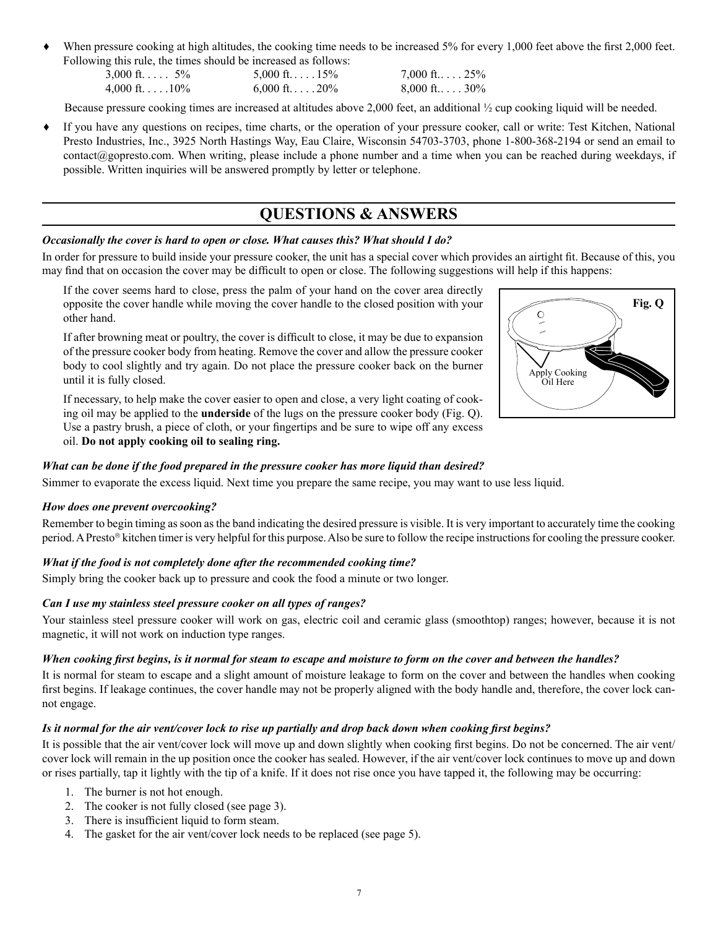When pressure cooking at high altitudes, the cooking time needs to be increased 5% for every 1,000 feet above the first 2,000 feet. Following this rule, the times should be increased as follows:

| . . |                           |
|-----|---------------------------|
|     | $3,000$ ft $5\%$          |
|     | $4,000$ ft. $\dots$ . 10% |

 $5,000 \text{ ft}$ ....  $15\%$  7.000 ft...  $25\%$  $6,000 \text{ ft.} \ldots 20\%$  8,000 ft...  $30\%$ 

Because pressure cooking times are increased at altitudes above 2,000 feet, an additional  $\frac{1}{2}$  cup cooking liquid will be needed.

♦ If you have any questions on recipes, time charts, or the operation of your pressure cooker, call or write: Test Kitchen, National Presto Industries, Inc., 3925 North Hastings Way, Eau Claire, Wisconsin 54703-3703, phone 1-800-368-2194 or send an email to contact@gopresto.com. When writing, please include a phone number and a time when you can be reached during weekdays, if possible. Written inquiries will be answered promptly by letter or telephone.

# **QUESTIONS & ANSWERS**

# *Occasionally the cover is hard to open or close. What causes this? What should I do?*

In order for pressure to build inside your pressure cooker, the unit has a special cover which provides an airtight fit. Because of this, you may find that on occasion the cover may be difficult to open or close. The following suggestions will help if this happens:

If the cover seems hard to close, press the palm of your hand on the cover area directly opposite the cover handle while moving the cover handle to the closed position with your other hand.

If after browning meat or poultry, the cover is difficult to close, it may be due to expansion of the pressure cooker body from heating. Remove the cover and allow the pressure cooker body to cool slightly and try again. Do not place the pressure cooker back on the burner until it is fully closed.

If necessary, to help make the cover easier to open and close, a very light coating of cooking oil may be applied to the **underside** of the lugs on the pressure cooker body (Fig. Q). Use a pastry brush, a piece of cloth, or your fingertips and be sure to wipe off any excess oil. **Do not apply cooking oil to sealing ring.**



#### *What can be done if the food prepared in the pressure cooker has more liquid than desired?*

Simmer to evaporate the excess liquid. Next time you prepare the same recipe, you may want to use less liquid.

#### *How does one prevent overcooking?*

Remember to begin timing as soon as the band indicating the desired pressure is visible. It is very important to accurately time the cooking period. A Presto kitchen timer is very helpful for this purpose. Also be sure to follow the recipe instructions for cooling the pressure cooker.

# *What if the food is not completely done after the recommended cooking time?*

Simply bring the cooker back up to pressure and cook the food a minute or two longer.

# *Can I use my stainless steel pressure cooker on all types of ranges?*

Your stainless steel pressure cooker will work on gas, electric coil and ceramic glass (smoothtop) ranges; however, because it is not magnetic, it will not work on induction type ranges.

#### *When cooking first begins, is it normal for steam to escape and moisture to form on the cover and between the handles?*

It is normal for steam to escape and a slight amount of moisture leakage to form on the cover and between the handles when cooking first begins. If leakage continues, the cover handle may not be properly aligned with the body handle and, therefore, the cover lock cannot engage.

# *Is it normal for the air vent/cover lock to rise up partially and drop back down when cooking first begins?*

It is possible that the air vent/cover lock will move up and down slightly when cooking first begins. Do not be concerned. The air vent/ cover lock will remain in the up position once the cooker has sealed. However, if the air vent/cover lock continues to move up and down or rises partially, tap it lightly with the tip of a knife. If it does not rise once you have tapped it, the following may be occurring:

- 1. The burner is not hot enough.
- 2. The cooker is not fully closed (see page 3).
- 3. There is insufficient liquid to form steam.
- 4. The gasket for the air vent/cover lock needs to be replaced (see page 5).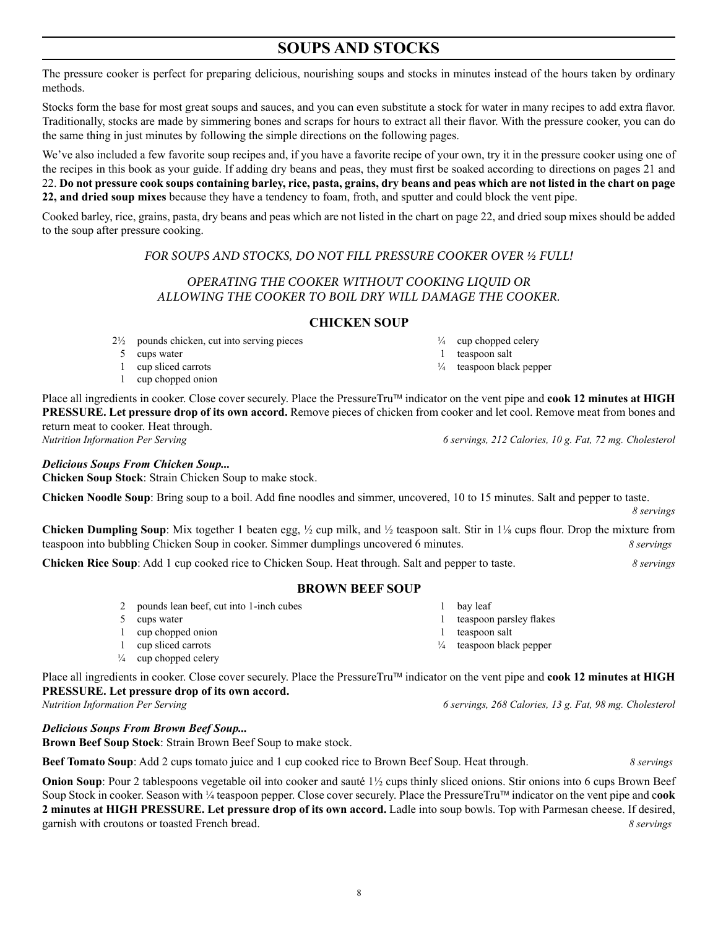# **SOUPS AND STOCKS**

The pressure cooker is perfect for preparing delicious, nourishing soups and stocks in minutes instead of the hours taken by ordinary methods.

Stocks form the base for most great soups and sauces, and you can even substitute a stock for water in many recipes to add extra flavor. Traditionally, stocks are made by simmering bones and scraps for hours to extract all their flavor. With the pressure cooker, you can do the same thing in just minutes by following the simple directions on the following pages.

We've also included a few favorite soup recipes and, if you have a favorite recipe of your own, try it in the pressure cooker using one of the recipes in this book as your guide. If adding dry beans and peas, they must first be soaked according to directions on pages 21 and 22. **Do not pressure cook soups containing barley, rice, pasta, grains, dry beans and peas which are not listed in the chart on page 22, and dried soup mixes** because they have a tendency to foam, froth, and sputter and could block the vent pipe.

Cooked barley, rice, grains, pasta, dry beans and peas which are not listed in the chart on page 22, and dried soup mixes should be added to the soup after pressure cooking.

*FOR SOUPS AND STOCKS, DO NOT FILL PRESSURE COOKER OVER ½ FULL!*

# *OPERATING THE COOKER WITHOUT COOKING LIQUID OR ALLOWING THE COOKER TO BOIL DRY WILL DAMAGE THE COOKER.*

#### **CHICKEN SOUP**

- 2½ pounds chicken, cut into serving pieces
- 5 cups water
- 1 cup sliced carrots
- 1 cup chopped onion

Place all ingredients in cooker. Close cover securely. Place the PressureTru™ indicator on the vent pipe and **cook 12 minutes at HIGH PRESSURE. Let pressure drop of its own accord.** Remove pieces of chicken from cooker and let cool. Remove meat from bones and return meat to cooker. Heat through. *Nutrition Information Per Serving 6 servings, 212 Calories, 10 g. Fat, 72 mg. Cholesterol*

#### *Delicious Soups From Chicken Soup...*

**Chicken Soup Stock**: Strain Chicken Soup to make stock.

**Chicken Noodle Soup**: Bring soup to a boil. Add fine noodles and simmer, uncovered, 10 to 15 minutes. Salt and pepper to taste.

**Chicken Dumpling Soup**: Mix together 1 beaten egg,  $\frac{1}{2}$  cup milk, and  $\frac{1}{2}$  teaspoon salt. Stir in  $1\frac{1}{8}$  cups flour. Drop the mixture from teaspoon into bubbling Chicken Soup in cooker. Simmer dumplings uncovered 6 minutes. *8 servings*

**Chicken Rice Soup**: Add 1 cup cooked rice to Chicken Soup. Heat through. Salt and pepper to taste. *8 servings*

# **BROWN BEEF SOUP**

- 2 pounds lean beef, cut into 1-inch cubes
- 5 cups water
- 1 cup chopped onion
- 1 cup sliced carrots
- $\frac{1}{4}$  cup chopped celery

Place all ingredients in cooker. Close cover securely. Place the PressureTru™ indicator on the vent pipe and cook 12 minutes at HIGH **PRESSURE. Let pressure drop of its own accord.**

*Delicious Soups From Brown Beef Soup...*

**Brown Beef Soup Stock**: Strain Brown Beef Soup to make stock.

**Beef Tomato Soup**: Add 2 cups tomato juice and 1 cup cooked rice to Brown Beef Soup. Heat through. *8 servings*

**Onion Soup**: Pour 2 tablespoons vegetable oil into cooker and sauté 1<sup>1/2</sup> cups thinly sliced onions. Stir onions into 6 cups Brown Beef Soup Stock in cooker. Season with ¼ teaspoon pepper. Close cover securely. Place the PressureTru indicator on the vent pipe and c**ook 2 minutes at HIGH PRESSURE. Let pressure drop of its own accord.** Ladle into soup bowls. Top with Parmesan cheese. If desired, garnish with croutons or toasted French bread. *8 servings*

 $\frac{1}{4}$  cup chopped celery 1 teaspoon salt ¼ teaspoon black pepper

*8 servings*

- 1 bay leaf
- 1 teaspoon salt
- ¼ teaspoon black pepper

*Nutrition Information Per Serving 6 servings, 268 Calories, 13 g. Fat, 98 mg. Cholesterol*

- 
- 

 1 teaspoon parsley flakes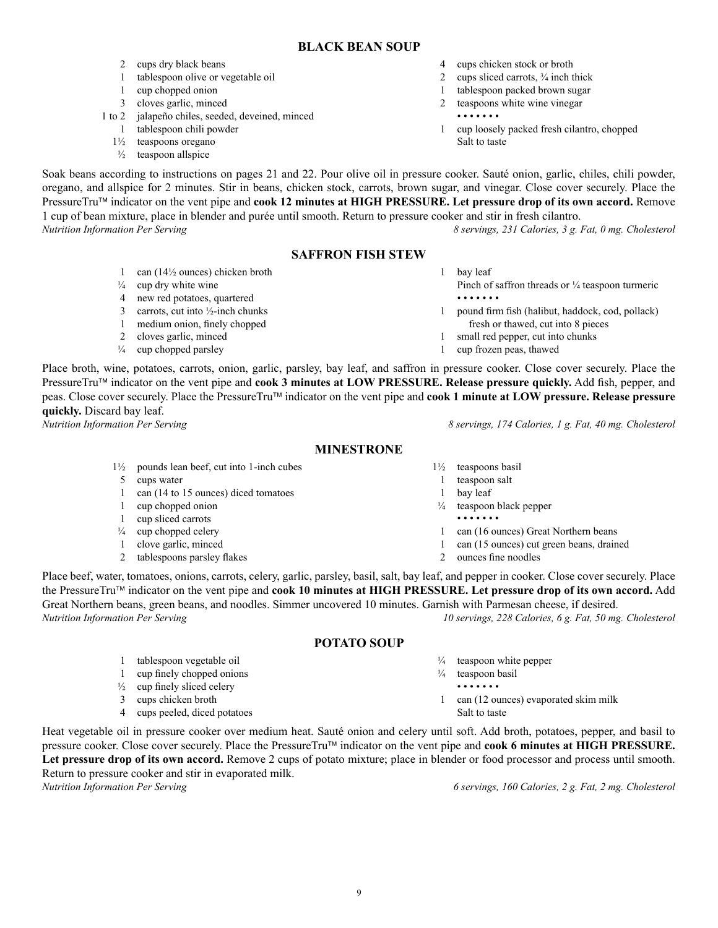1½ pounds lean beef, cut into 1-inch cubes

5 cups water

- 1 can (14 to 15 ounces) diced tomatoes
- 1 cup chopped onion 1 cup sliced carrots
- 
- $\frac{1}{4}$  cup chopped celery 1 clove garlic, minced
- 2 tablespoons parsley flakes

Place beef, water, tomatoes, onions, carrots, celery, garlic, parsley, basil, salt, bay leaf, and pepper in cooker. Close cover securely. Place the PressureTru<sup>™</sup> indicator on the vent pipe and **cook 10 minutes at HIGH PRESSURE.** Let pressure drop of its own accord. Add Great Northern beans, green beans, and noodles. Simmer uncovered 10 minutes. Garnish with Parmesan cheese, if desired.<br> *Nutrition Information Per Serving* 10 servings, 228 Calories, 6 g. Fat, 50 mg *Nutrition Information Per Serving 10 servings, 228 Calories, 6 g. Fat, 50 mg. Cholesterol*

# **POTATO SOUP**

- 1 tablespoon vegetable oil
- 1 cup finely chopped onions
- $\frac{1}{2}$  cup finely sliced celery
- 3 cups chicken broth
- 4 cups peeled, diced potatoes

Heat vegetable oil in pressure cooker over medium heat. Sauté onion and celery until soft. Add broth, potatoes, pepper, and basil to pressure cooker. Close cover securely. Place the PressureTru™ indicator on the vent pipe and **cook 6 minutes at HIGH PRESSURE. Let pressure drop of its own accord.** Remove 2 cups of potato mixture; place in blender or food processor and process until smooth. Return to pressure cooker and stir in evaporated milk. *Nutrition Information Per Serving 6 servings, 160 Calories, 2 g. Fat, 2 mg. Cholesterol*

4 cups chicken stock or broth

- 2 cups sliced carrots,  $\frac{3}{4}$  inch thick
- 1 tablespoon packed brown sugar
- 2 teaspoons white wine vinegar
- • • • •

1 bay leaf

- 1 cup loosely packed fresh cilantro, chopped Salt to taste
- Soak beans according to instructions on pages 21 and 22. Pour olive oil in pressure cooker. Sauté onion, garlic, chiles, chili powder, oregano, and allspice for 2 minutes. Stir in beans, chicken stock, carrots, brown sugar, and vinegar. Close cover securely. Place the PressureTru<sup>™</sup> indicator on the vent pipe and **cook 12 minutes at HIGH PRESSURE.** Let pressure drop of its own accord. Remove 1 cup of bean mixture, place in blender and purée until smooth. Return to pressure cooker and stir in fresh cilantro. *Nutrition Information Per Serving 8 servings, 231 Calories, 3 g. Fat, 0 mg. Cholesterol*

# **SAFFRON FISH STEW**

- Pinch of saffron threads or  $\frac{1}{4}$  teaspoon turmeric • • • • • • • 1 pound firm fish (halibut, haddock, cod, pollack) fresh or thawed, cut into 8 pieces 1 small red pepper, cut into chunks 1 cup frozen peas, thawed
- Place broth, wine, potatoes, carrots, onion, garlic, parsley, bay leaf, and saffron in pressure cooker. Close cover securely. Place the Pressure $Tru^{\pi M}$  indicator on the vent pipe and **cook 3 minutes at LOW PRESSURE. Release pressure quickly.** Add fish, pepper, and peas. Close cover securely. Place the PressureTru™ indicator on the vent pipe and **cook 1 minute at LOW pressure. Release pressure quickly.** Discard bay leaf. *Nutrition Information Per Serving 8 servings, 174 Calories, 1 g. Fat, 40 mg. Cholesterol*

# **MINESTRONE**

- 1½ teaspoons basil
	- 1 teaspoon salt
	- 1 bay leaf
	- ¼ teaspoon black pepper
	- • • • •
	- 1 can (16 ounces) Great Northern beans

 1 can (12 ounces) evaporated skim milk

- 1 can (15 ounces) cut green beans, drained
- 2 ounces fine noodles

 $\frac{1}{4}$  teaspoon white pepper  $\frac{1}{4}$  teaspoon basil • • • • • • •

Salt to taste

**BLACK BEAN SOUP**

3 cloves garlic, minced 1 to 2 jalapeño chiles, seeded, deveined, minced

1 tablespoon olive or vegetable oil

1  $\cos(14\frac{1}{2})$  can (14<sup>1</sup>/<sub>2</sub> ounces) chicken broth

1 tablespoon chili powder

2 cups dry black beans

1 cup chopped onion

1½ teaspoons oregano

 $\frac{1}{4}$  cup dry white wine 4 new red potatoes, quartered 3 carrots, cut into  $\frac{1}{2}$ -inch chunks 1 medium onion, finely chopped 2 cloves garlic, minced  $\frac{1}{4}$  cup chopped parsley

 $\frac{1}{2}$  teaspoon allspice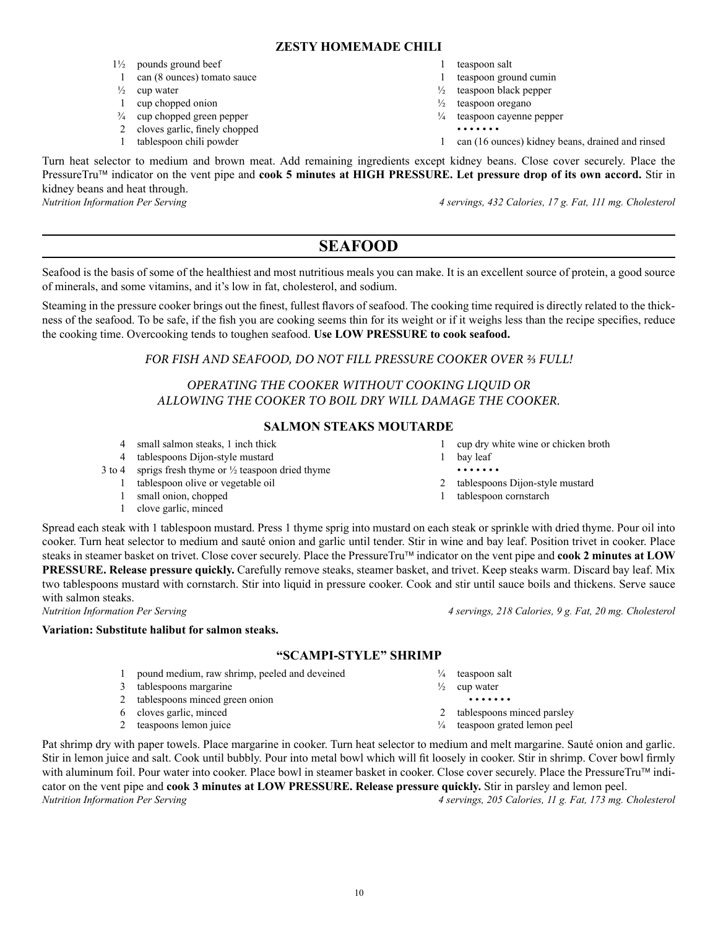#### **ZESTY HOMEMADE CHILI**

- 1½ pounds ground beef
- 1 can (8 ounces) tomato sauce
- $\frac{1}{2}$  cup water
- 1 cup chopped onion
- ¾ cup chopped green pepper
- 2 cloves garlic, finely chopped
- 1 tablespoon chili powder
- 1 teaspoon salt
- 1 teaspoon ground cumin
- $\frac{1}{2}$  teaspoon black pepper
- $\frac{1}{2}$  teaspoon oregano
- ¼ teaspoon cayenne pepper
	- • • • •
- 1 can (16 ounces) kidney beans, drained and rinsed

Turn heat selector to medium and brown meat. Add remaining ingredients except kidney beans. Close cover securely. Place the PressureTru<sup>™</sup> indicator on the vent pipe and **cook 5 minutes at HIGH PRESSURE. Let pressure drop of its own accord.** Stir in kidney beans and heat through.

*Nutrition Information Per Serving 4 servings, 432 Calories, 17 g. Fat, 111 mg. Cholesterol*

# **SEAFOOD**

Seafood is the basis of some of the healthiest and most nutritious meals you can make. It is an excellent source of protein, a good source of minerals, and some vitamins, and it's low in fat, cholesterol, and sodium.

Steaming in the pressure cooker brings out the finest, fullest flavors of seafood. The cooking time required is directly related to the thickness of the seafood. To be safe, if the fish you are cooking seems thin for its weight or if it weighs less than the recipe specifies, reduce the cooking time. Overcooking tends to toughen seafood. **Use LOW PRESSURE to cook seafood.**

# *FOR FISH AND SEAFOOD, DO NOT FILL PRESSURE COOKER OVER ⅔ FULL!*

# *OPERATING THE COOKER WITHOUT COOKING LIQUID OR ALLOWING THE COOKER TO BOIL DRY WILL DAMAGE THE COOKER.*

# **SALMON STEAKS MOUTARDE**

- 4 small salmon steaks, 1 inch thick
- 4 tablespoons Dijon-style mustard
- 3 to 4 sprigs fresh thyme or  $\frac{1}{2}$  teaspoon dried thyme
	- 1 tablespoon olive or vegetable oil
	- 1 small onion, chopped
	- 1 clove garlic, minced

Spread each steak with 1 tablespoon mustard. Press 1 thyme sprig into mustard on each steak or sprinkle with dried thyme. Pour oil into cooker. Turn heat selector to medium and sauté onion and garlic until tender. Stir in wine and bay leaf. Position trivet in cooker. Place steaks in steamer basket on trivet. Close cover securely. Place the PressureTru™ indicator on the vent pipe and **cook 2 minutes at LOW PRESSURE. Release pressure quickly.** Carefully remove steaks, steamer basket, and trivet. Keep steaks warm. Discard bay leaf. Mix two tablespoons mustard with cornstarch. Stir into liquid in pressure cooker. Cook and stir until sauce boils and thickens. Serve sauce with salmon steaks.

*Nutrition Information Per Serving 4 servings, 218 Calories, 9 g. Fat, 20 mg. Cholesterol*

**Variation: Substitute halibut for salmon steaks.**

#### **"SCAMPI-STYLE" SHRIMP**

- 1 pound medium, raw shrimp, peeled and deveined
- 3 tablespoons margarine
- 2 tablespoons minced green onion
- 6 cloves garlic, minced
- 2 teaspoons lemon juice

Pat shrimp dry with paper towels. Place margarine in cooker. Turn heat selector to medium and melt margarine. Sauté onion and garlic. Stir in lemon juice and salt. Cook until bubbly. Pour into metal bowl which will fit loosely in cooker. Stir in shrimp. Cover bowl firmly with aluminum foil. Pour water into cooker. Place bowl in steamer basket in cooker. Close cover securely. Place the PressureTru™ indicator on the vent pipe and **cook 3 minutes at LOW PRESSURE. Release pressure quickly.** Stir in parsley and lemon peel. *Nutrition Information Per Serving 4 servings, 205 Calories, 11 g. Fat, 173 mg. Cholesterol*

1 tablespoon cornstarch

- 
- $\frac{1}{4}$  teaspoon salt
- $\frac{1}{2}$  cup water
	- • • • •
- 2 tablespoons minced parsley
- ¼ teaspoon grated lemon peel
- 1 bay leaf • • • • • • •
- 2 tablespoons Dijon-style mustard

1 cup dry white wine or chicken broth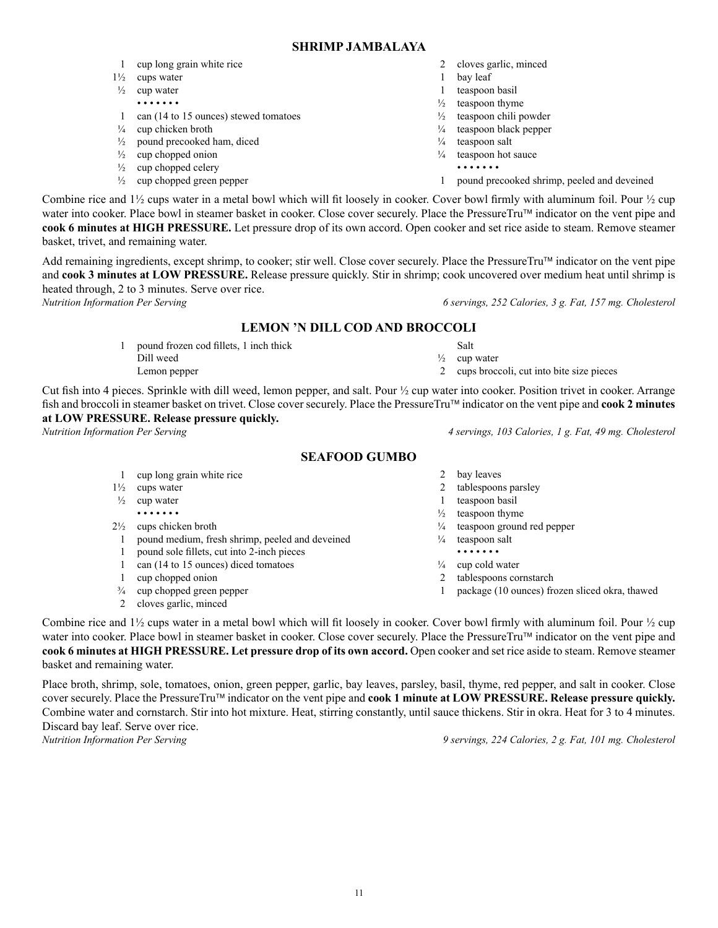11

#### **SHRIMP JAMBALAYA**

- 1 cup long grain white rice
- 1½ cups water
- $\frac{1}{2}$  cup water • • • • • • •
- 1 can (14 to 15 ounces) stewed tomatoes
- $\frac{1}{4}$  cup chicken broth
- $\frac{1}{2}$  pound precooked ham, diced
- $\frac{1}{2}$  cup chopped onion
- $\frac{1}{2}$  cup chopped celery
- ½ cup chopped green pepper
- 2 cloves garlic, minced
- 1 bay leaf
- 1 teaspoon basil
- $\frac{1}{2}$  teaspoon thyme
- ½ teaspoon chili powder
- ¼ teaspoon black pepper
- $\frac{1}{4}$  teaspoon salt
- $\frac{1}{4}$  teaspoon hot sauce
	- • • • •
- 1 pound precooked shrimp, peeled and deveined

Combine rice and  $1\frac{1}{2}$  cups water in a metal bowl which will fit loosely in cooker. Cover bowl firmly with aluminum foil. Pour  $\frac{1}{2}$  cup water into cooker. Place bowl in steamer basket in cooker. Close cover securely. Place the PressureTru™ indicator on the vent pipe and **cook 6 minutes at HIGH PRESSURE.** Let pressure drop of its own accord. Open cooker and set rice aside to steam. Remove steamer basket, trivet, and remaining water.

Add remaining ingredients, except shrimp, to cooker; stir well. Close cover securely. Place the PressureTru™ indicator on the vent pipe and **cook 3 minutes at LOW PRESSURE.** Release pressure quickly. Stir in shrimp; cook uncovered over medium heat until shrimp is heated through, 2 to 3 minutes. Serve over rice.

*Nutrition Information Per Serving 6 servings, 252 Calories, 3 g. Fat, 157 mg. Cholesterol*

# **LEMON 'N DILL COD AND BROCCOLI**

1 pound frozen cod fillets, 1 inch thick Dill weed Lemon pepper

Cut fish into 4 pieces. Sprinkle with dill weed, lemon pepper, and salt. Pour ½ cup water into cooker. Position trivet in cooker. Arrange fish and broccoli in steamer basket on trivet. Close cover securely. Place the PressureTru indicator on the vent pipe and **cook 2 minutes at LOW PRESSURE. Release pressure quickly.** *Nutrition Information Per Serving 4 servings, 103 Calories, 1 g. Fat, 49 mg. Cholesterol*

# **SEAFOOD GUMBO**

- 1 cup long grain white rice
- 1½ cups water
- $\frac{1}{2}$  cup water • • • • • • •
- 2½ cups chicken broth
	- 1 pound medium, fresh shrimp, peeled and deveined
	- 1 pound sole fillets, cut into 2-inch pieces
- 1 can (14 to 15 ounces) diced tomatoes
- 1 cup chopped onion
- ¾ cup chopped green pepper
- 2 cloves garlic, minced

2 bay leaves

 Salt  $\frac{1}{2}$  cup water

- 1 teaspoon basil
- $\frac{1}{2}$  teaspoon thyme
- ¼ teaspoon ground red pepper
- 
- • • • •
- $\frac{1}{4}$  cup cold water
- 2 tablespoons cornstarch
- 1 package (10 ounces) frozen sliced okra, thawed

Combine rice and  $1\frac{1}{2}$  cups water in a metal bowl which will fit loosely in cooker. Cover bowl firmly with aluminum foil. Pour  $\frac{1}{2}$  cup water into cooker. Place bowl in steamer basket in cooker. Close cover securely. Place the PressureTru™ indicator on the vent pipe and **cook 6 minutes at HIGH PRESSURE. Let pressure drop of its own accord.** Open cooker and set rice aside to steam. Remove steamer basket and remaining water.

Place broth, shrimp, sole, tomatoes, onion, green pepper, garlic, bay leaves, parsley, basil, thyme, red pepper, and salt in cooker. Close cover securely. Place the PressureTru™ indicator on the vent pipe and **cook 1 minute at LOW PRESSURE. Release pressure quickly.** Combine water and cornstarch. Stir into hot mixture. Heat, stirring constantly, until sauce thickens. Stir in okra. Heat for 3 to 4 minutes. Discard bay leaf. Serve over rice.

*Nutrition Information Per Serving 9 servings, 224 Calories, 2 g. Fat, 101 mg. Cholesterol*

2 tablespoons parsley

2 cups broccoli, cut into bite size pieces

- 
- 
- $\frac{1}{4}$  teaspoon salt
- 
- 
- 
- 
- 
- 
- 
- 
-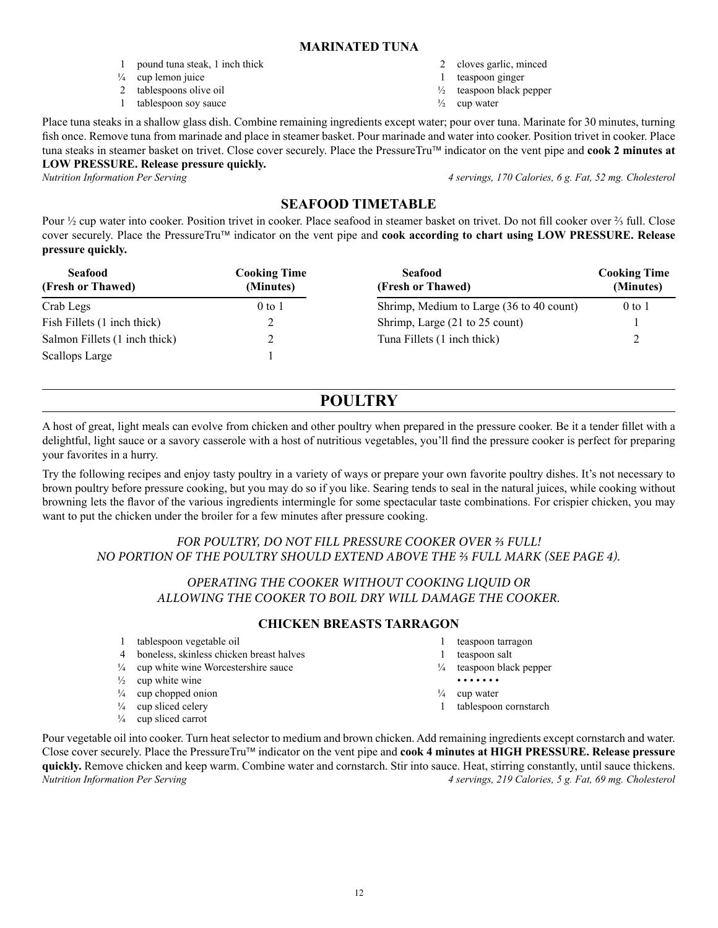#### **MARINATED TUNA**

- 1 pound tuna steak, 1 inch thick
- $\frac{1}{4}$  cup lemon juice
- 2 tablespoons olive oil
- 1 tablespoon soy sauce
- 2 cloves garlic, minced
- 1 teaspoon ginger
- ½ teaspoon black pepper
- $\frac{1}{2}$  cup water

Place tuna steaks in a shallow glass dish. Combine remaining ingredients except water; pour over tuna. Marinate for 30 minutes, turning fish once. Remove tuna from marinade and place in steamer basket. Pour marinade and water into cooker. Position trivet in cooker. Place tuna steaks in steamer basket on trivet. Close cover securely. Place the PressureTru™ indicator on the vent pipe and **cook 2 minutes at LOW PRESSURE. Release pressure quickly.**

*Nutrition Information Per Serving 4 servings, 170 Calories, 6 g. Fat, 52 mg. Cholesterol*

# **SEAFOOD TIMETABLE**

Pour ½ cup water into cooker. Position trivet in cooker. Place seafood in steamer basket on trivet. Do not fill cooker over ⅔ full. Close cover securely. Place the PressureTru indicator on the vent pipe and **cook according to chart using LOW PRESSURE. Release pressure quickly.**

| <b>Seafood</b><br>(Fresh or Thawed) | Cooking Time<br>(Minutes) | <b>Seafood</b><br>(Fresh or Thawed)      | <b>Cooking Time</b><br>(Minutes) |
|-------------------------------------|---------------------------|------------------------------------------|----------------------------------|
| Crab Legs                           | $0$ to $1$                | Shrimp, Medium to Large (36 to 40 count) | $0$ to 1                         |
| Fish Fillets (1 inch thick)         |                           | Shrimp, Large (21 to 25 count)           |                                  |
| Salmon Fillets (1 inch thick)       |                           | Tuna Fillets (1 inch thick)              |                                  |
| Scallops Large                      |                           |                                          |                                  |

# **POULTRY**

A host of great, light meals can evolve from chicken and other poultry when prepared in the pressure cooker. Be it a tender fillet with a delightful, light sauce or a savory casserole with a host of nutritious vegetables, you'll find the pressure cooker is perfect for preparing your favorites in a hurry.

Try the following recipes and enjoy tasty poultry in a variety of ways or prepare your own favorite poultry dishes. It's not necessary to brown poultry before pressure cooking, but you may do so if you like. Searing tends to seal in the natural juices, while cooking without browning lets the flavor of the various ingredients intermingle for some spectacular taste combinations. For crispier chicken, you may want to put the chicken under the broiler for a few minutes after pressure cooking.

# *FOR POULTRY, DO NOT FILL PRESSURE COOKER OVER ⅔ FULL! NO PORTION OF THE POULTRY SHOULD EXTEND ABOVE THE ⅔ FULL MARK (SEE PAGE 4).*

# *OPERATING THE COOKER WITHOUT COOKING LIQUID OR ALLOWING THE COOKER TO BOIL DRY WILL DAMAGE THE COOKER.*

# **CHICKEN BREASTS TARRAGON**

- 1 tablespoon vegetable oil
- 4 boneless, skinless chicken breast halves
- $\frac{1}{4}$  cup white wine Worcestershire sauce
- $\frac{1}{2}$  cup white wine
- $\frac{1}{4}$  cup chopped onion
- $\frac{1}{4}$  cup sliced celery
- ¼ cup sliced carrot
- 1 teaspoon tarragon
- 1 teaspoon salt
- ¼ teaspoon black pepper
- • • • •
- $\frac{1}{4}$  cup water
- 1 tablespoon cornstarch

Pour vegetable oil into cooker. Turn heat selector to medium and brown chicken. Add remaining ingredients except cornstarch and water. Close cover securely. Place the PressureTru<sup>™</sup> indicator on the vent pipe and **cook 4 minutes at HIGH PRESSURE. Release pressure quickly.** Remove chicken and keep warm. Combine water and cornstarch. Stir into sauce. Heat, stirring constantly, until sauce thickens. *Nutrition Information Per Serving 4 servings, 219 Calories, 5 g. Fat, 69 mg. Cholesterol*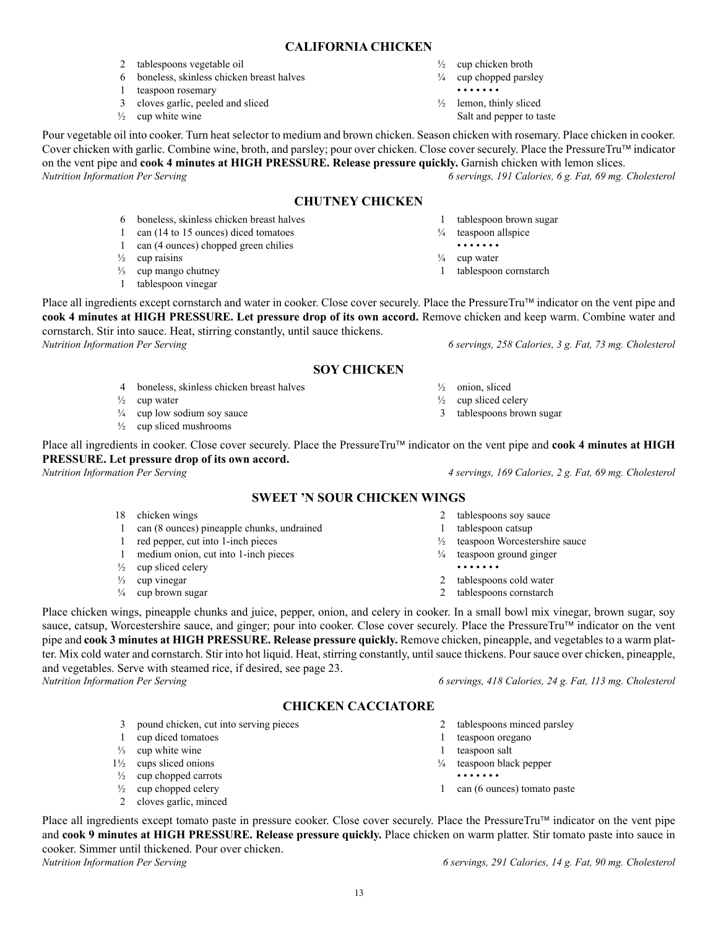# **CALIFORNIA CHICKEN**

- 2 tablespoons vegetable oil
- 6 boneless, skinless chicken breast halves
- 1 teaspoon rosemary
- 3 cloves garlic, peeled and sliced
- $\frac{1}{2}$  cup white wine
- $\frac{1}{2}$  cup chicken broth
- $\frac{1}{4}$  cup chopped parsley • • • • • • •
- $\frac{1}{2}$  lemon, thinly sliced Salt and pepper to taste

1 tablespoon brown sugar  $\frac{1}{4}$  teaspoon allspice • • • • • • •  $\frac{1}{4}$  cup water

1 tablespoon cornstarch

Pour vegetable oil into cooker. Turn heat selector to medium and brown chicken. Season chicken with rosemary. Place chicken in cooker. Cover chicken with garlic. Combine wine, broth, and parsley; pour over chicken. Close cover securely. Place the PressureTru™ indicator on the vent pipe and **cook 4 minutes at HIGH PRESSURE. Release pressure quickly.** Garnish chicken with lemon slices. *Nutrition Information Per Serving 6 servings, 191 Calories, 6 g. Fat, 69 mg. Cholesterol*

# **CHUTNEY CHICKEN**

- 6 boneless, skinless chicken breast halves
- 1 can (14 to 15 ounces) diced tomatoes
- 1 can (4 ounces) chopped green chilies
- $\frac{1}{2}$  cup raisins
- ⅓ cup mango chutney
- 1 tablespoon vinegar
- Place all ingredients except cornstarch and water in cooker. Close cover securely. Place the PressureTru<sup>TM</sup> indicator on the vent pipe and **cook 4 minutes at HIGH PRESSURE. Let pressure drop of its own accord.** Remove chicken and keep warm. Combine water and cornstarch. Stir into sauce. Heat, stirring constantly, until sauce thickens. *Nutrition Information Per Serving 6 servings, 258 Calories, 3 g. Fat, 73 mg. Cholesterol*

# **SOY CHICKEN**

- 4 boneless, skinless chicken breast halves
- $\frac{1}{2}$  cup water
- $\frac{1}{4}$  cup low sodium soy sauce
- $\frac{1}{2}$  cup sliced mushrooms

Place all ingredients in cooker. Close cover securely. Place the PressureTru™ indicator on the vent pipe and **cook 4 minutes at HIGH PRESSURE. Let pressure drop of its own accord.**

# **SWEET 'N SOUR CHICKEN WINGS**

- 18 chicken wings
- 1 can (8 ounces) pineapple chunks, undrained
- 1 red pepper, cut into 1-inch pieces
- 1 medium onion, cut into 1-inch pieces
- $\frac{1}{2}$  cup sliced celery
- $\frac{1}{3}$  cup vinegar
- $\frac{1}{4}$  cup brown sugar

Place chicken wings, pineapple chunks and juice, pepper, onion, and celery in cooker. In a small bowl mix vinegar, brown sugar, soy sauce, catsup, Worcestershire sauce, and ginger; pour into cooker. Close cover securely. Place the PressureTru™ indicator on the vent pipe and **cook 3 minutes at HIGH PRESSURE. Release pressure quickly.** Remove chicken, pineapple, and vegetables to a warm platter. Mix cold water and cornstarch. Stir into hot liquid. Heat, stirring constantly, until sauce thickens. Pour sauce over chicken, pineapple, and vegetables. Serve with steamed rice, if desired, see page 23. *Nutrition Information Per Serving 6 servings, 418 Calories, 24 g. Fat, 113 mg. Cholesterol*

**CHICKEN CACCIATORE**

- 3 pound chicken, cut into serving pieces
- 1 cup diced tomatoes
- $\frac{1}{3}$  cup white wine
- $1\frac{1}{2}$  cups sliced onions
- $\frac{1}{2}$  cup chopped carrots
- $\frac{1}{2}$  cup chopped celery
- 2 cloves garlic, minced

Place all ingredients except tomato paste in pressure cooker. Close cover securely. Place the PressureTru<sup>TM</sup> indicator on the vent pipe and **cook 9 minutes at HIGH PRESSURE. Release pressure quickly.** Place chicken on warm platter. Stir tomato paste into sauce in cooker. Simmer until thickened. Pour over chicken. *Nutrition Information Per Serving 6 servings, 291 Calories, 14 g. Fat, 90 mg. Cholesterol*

2 tablespoons minced parsley

- 1 teaspoon oregano
- 1 teaspoon salt
- $\frac{1}{4}$  teaspoon black pepper
	- • • • •
- 1 can (6 ounces) tomato paste

- 
- $\frac{1}{2}$  cup sliced celery
- 3 tablespoons brown sugar

*Nutrition Information Per Serving 4 servings, 169 Calories, 2 g. Fat, 69 mg. Cholesterol*

- 
- 2 tablespoons soy sauce
- 1 tablespoon catsup
- $\frac{1}{2}$  teaspoon Worcestershire sauce
- $\frac{1}{4}$  teaspoon ground ginger
- 2 tablespoons cold water
- - -
	- -
		-
- - -
		- 2 tablespoons cornstarch

- • • • •
- -

 $\frac{1}{2}$  onion, sliced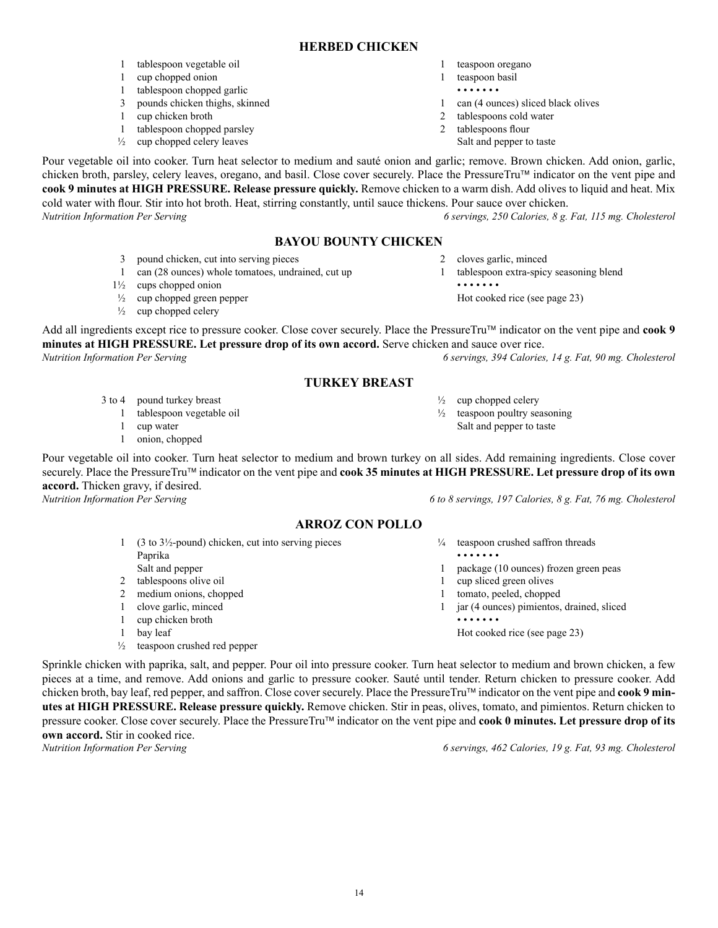#### **HERBED CHICKEN**

- 1 tablespoon vegetable oil
- 1 cup chopped onion
- 1 tablespoon chopped garlic
- 3 pounds chicken thighs, skinned
- 1 cup chicken broth
- 1 tablespoon chopped parsley
- $\frac{1}{2}$  cup chopped celery leaves
- 1 teaspoon oregano
- 1 teaspoon basil
- • • • •
- 1 can (4 ounces) sliced black olives
- 2 tablespoons cold water
- 2 tablespoons flour
- Salt and pepper to taste

2 cloves garlic, minced

 $\frac{1}{2}$  cup chopped celery  $\frac{1}{2}$  teaspoon poultry seasoning Salt and pepper to taste

• • • • • • •

 1 tablespoon extra-spicy seasoning blend

 Hot cooked rice (see page 23)

Pour vegetable oil into cooker. Turn heat selector to medium and sauté onion and garlic; remove. Brown chicken. Add onion, garlic, chicken broth, parsley, celery leaves, oregano, and basil. Close cover securely. Place the PressureTru™ indicator on the vent pipe and **cook 9 minutes at HIGH PRESSURE. Release pressure quickly.** Remove chicken to a warm dish. Add olives to liquid and heat. Mix cold water with flour. Stir into hot broth. Heat, stirring constantly, until sauce thickens. Pour sauce over chicken. *Nutrition Information Per Serving 6 servings, 250 Calories, 8 g. Fat, 115 mg. Cholesterol*

# **BAYOU BOUNTY CHICKEN**

- 3 pound chicken, cut into serving pieces
- 1 can (28 ounces) whole tomatoes, undrained, cut up
- 1½ cups chopped onion
- $\frac{1}{2}$  cup chopped green pepper
- $\frac{1}{2}$  cup chopped celery

Add all ingredients except rice to pressure cooker. Close cover securely. Place the PressureTru™ indicator on the vent pipe and **cook 9 minutes at HIGH PRESSURE. Let pressure drop of its own accord.** Serve chicken and sauce over rice. *Nutrition Information Per Serving 6 servings, 394 Calories, 14 g. Fat, 90 mg. Cholesterol*

### **TURKEY BREAST**

- 3 to 4 pound turkey breast
	- 1 tablespoon vegetable oil
	- 1 cup water
	- 1 onion, chopped

Pour vegetable oil into cooker. Turn heat selector to medium and brown turkey on all sides. Add remaining ingredients. Close cover securely. Place the PressureTru™ indicator on the vent pipe and **cook 35 minutes at HIGH PRESSURE. Let pressure drop of its own accord.** Thicken gravy, if desired.

# **ARROZ CON POLLO**

- 1  $(3 \text{ to } 3\frac{1}{2})$ -pound) chicken, cut into serving pieces Paprika Salt and pepper 2 tablespoons olive oil
- 2 medium onions, chopped
- 1 clove garlic, minced
- 1 cup chicken broth
- 1 bay leaf
- ½ teaspoon crushed red pepper

*Nutrition Information Per Serving 6 to 8 servings, 197 Calories, 8 g. Fat, 76 mg. Cholesterol*

- $\frac{1}{4}$  teaspoon crushed saffron threads • • • • • • • 1 package (10 ounces) frozen green peas 1 cup sliced green olives 1 tomato, peeled, chopped
- 1 jar (4 ounces) pimientos, drained, sliced • • • • • • •

 Hot cooked rice (see page 23)

Sprinkle chicken with paprika, salt, and pepper. Pour oil into pressure cooker. Turn heat selector to medium and brown chicken, a few pieces at a time, and remove. Add onions and garlic to pressure cooker. Sauté until tender. Return chicken to pressure cooker. Add chicken broth, bay leaf, red pepper, and saffron. Close cover securely. Place the PressureTru indicator on the vent pipe and **cook 9 minutes at HIGH PRESSURE. Release pressure quickly.** Remove chicken. Stir in peas, olives, tomato, and pimientos. Return chicken to pressure cooker. Close cover securely. Place the PressureTru™ indicator on the vent pipe and **cook 0 minutes. Let pressure drop of its own accord.** Stir in cooked rice.

*Nutrition Information Per Serving 6 servings, 462 Calories, 19 g. Fat, 93 mg. Cholesterol*

14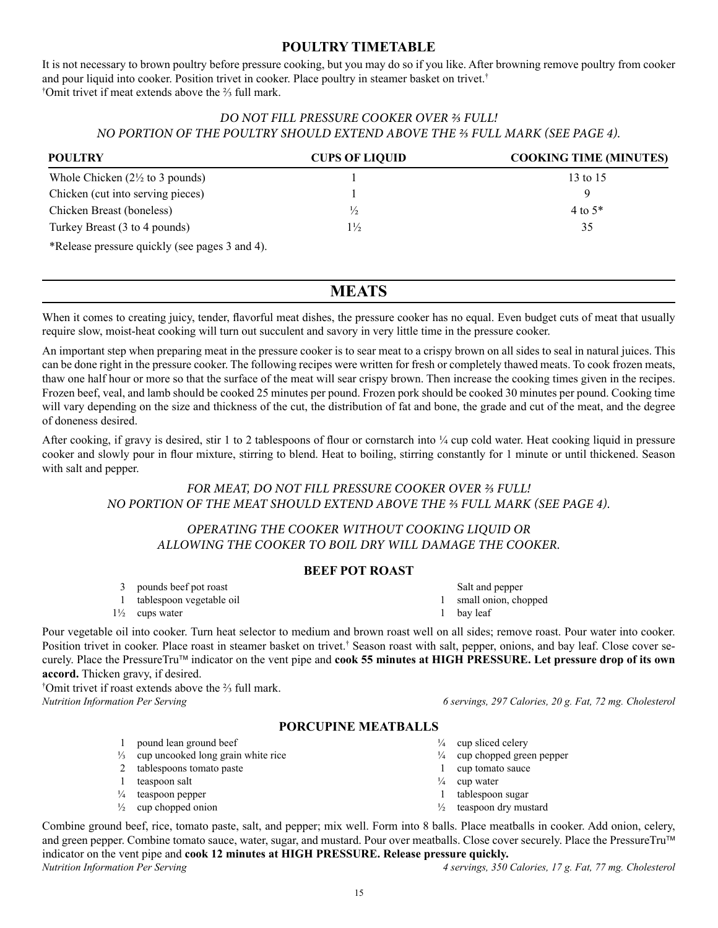# **POULTRY TIMETABLE**

It is not necessary to brown poultry before pressure cooking, but you may do so if you like. After browning remove poultry from cooker and pour liquid into cooker. Position trivet in cooker. Place poultry in steamer basket on trivet.† † Omit trivet if meat extends above the ⅔ full mark.

# *DO NOT FILL PRESSURE COOKER OVER ⅔ FULL! NO PORTION OF THE POULTRY SHOULD EXTEND ABOVE THE ⅔ FULL MARK (SEE PAGE 4).*

| <b>POULTRY</b>                                 | <b>CUPS OF LIQUID</b> | <b>COOKING TIME (MINUTES)</b> |
|------------------------------------------------|-----------------------|-------------------------------|
| Whole Chicken $(2\frac{1}{2})$ to 3 pounds)    |                       | 13 to 15                      |
| Chicken (cut into serving pieces)              |                       | $\Omega$                      |
| Chicken Breast (boneless)                      | $\frac{1}{2}$         | 4 to $5*$                     |
| Turkey Breast (3 to 4 pounds)                  | $1\frac{1}{2}$        | 35                            |
| *Release pressure quickly (see pages 3 and 4). |                       |                               |

# **MEATS**

When it comes to creating juicy, tender, flavorful meat dishes, the pressure cooker has no equal. Even budget cuts of meat that usually require slow, moist-heat cooking will turn out succulent and savory in very little time in the pressure cooker.

An important step when preparing meat in the pressure cooker is to sear meat to a crispy brown on all sides to seal in natural juices. This can be done right in the pressure cooker. The following recipes were written for fresh or completely thawed meats. To cook frozen meats, thaw one half hour or more so that the surface of the meat will sear crispy brown. Then increase the cooking times given in the recipes. Frozen beef, veal, and lamb should be cooked 25 minutes per pound. Frozen pork should be cooked 30 minutes per pound. Cooking time will vary depending on the size and thickness of the cut, the distribution of fat and bone, the grade and cut of the meat, and the degree of doneness desired.

After cooking, if gravy is desired, stir 1 to 2 tablespoons of flour or cornstarch into  $\frac{1}{4}$  cup cold water. Heat cooking liquid in pressure cooker and slowly pour in flour mixture, stirring to blend. Heat to boiling, stirring constantly for 1 minute or until thickened. Season with salt and pepper.

# *FOR MEAT, DO NOT FILL PRESSURE COOKER OVER ⅔ FULL! NO PORTION OF THE MEAT SHOULD EXTEND ABOVE THE ⅔ FULL MARK (SEE PAGE 4).*

# *OPERATING THE COOKER WITHOUT COOKING LIQUID OR ALLOWING THE COOKER TO BOIL DRY WILL DAMAGE THE COOKER.*

# **BEEF POT ROAST**

- 3 pounds beef pot roast
- 1 tablespoon vegetable oil
- 1½ cups water

Pour vegetable oil into cooker. Turn heat selector to medium and brown roast well on all sides; remove roast. Pour water into cooker. Position trivet in cooker. Place roast in steamer basket on trivet.† Season roast with salt, pepper, onions, and bay leaf. Close cover securely. Place the PressureTru indicator on the vent pipe and **cook 55 minutes at HIGH PRESSURE. Let pressure drop of its own accord.** Thicken gravy, if desired.

† Omit trivet if roast extends above the ⅔ full mark.

*Nutrition Information Per Serving 6 servings, 297 Calories, 20 g. Fat, 72 mg. Cholesterol*

#### **PORCUPINE MEATBALLS**

- 1 pound lean ground beef
- ⅓ cup uncooked long grain white rice
- 2 tablespoons tomato paste
- 1 teaspoon salt
- $\frac{1}{4}$  teaspoon pepper
- $\frac{1}{2}$  cup chopped onion
- $\frac{1}{4}$  cup sliced celery
- $\frac{1}{4}$  cup chopped green pepper
- 1 cup tomato sauce
- $\frac{1}{4}$  cup water
- 1 tablespoon sugar
- ½ teaspoon dry mustard

Combine ground beef, rice, tomato paste, salt, and pepper; mix well. Form into 8 balls. Place meatballs in cooker. Add onion, celery, and green pepper. Combine tomato sauce, water, sugar, and mustard. Pour over meatballs. Close cover securely. Place the PressureTru™ indicator on the vent pipe and **cook 12 minutes at HIGH PRESSURE. Release pressure quickly.** *Nutrition Information Per Serving 4 servings, 350 Calories, 17 g. Fat, 77 mg. Cholesterol*

1 bay leaf

 Salt and pepper 1 small onion, chopped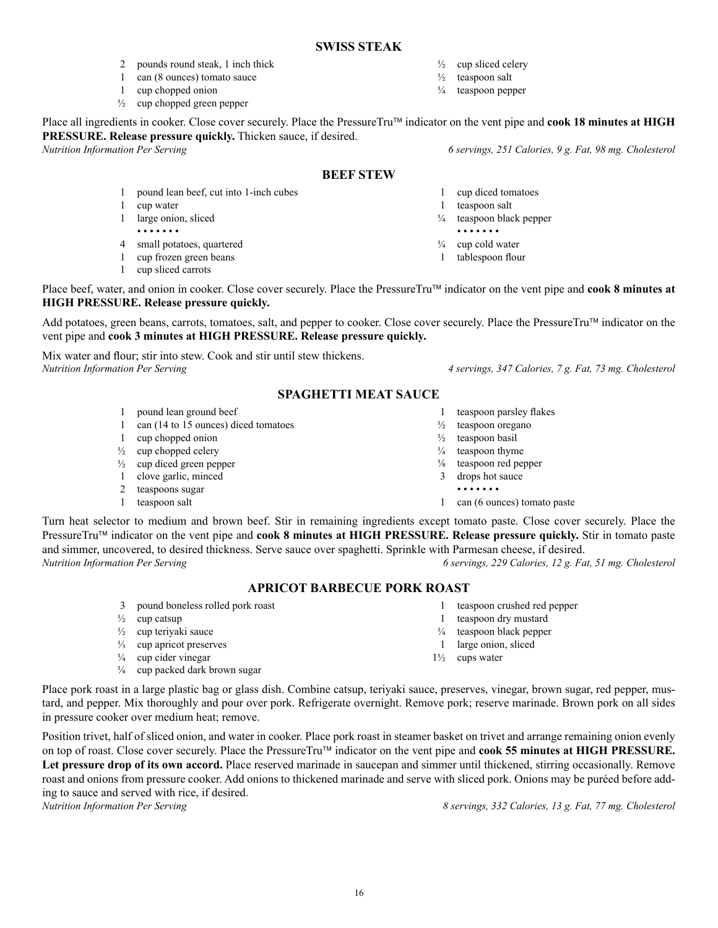#### **SWISS STEAK**

- 2 pounds round steak, 1 inch thick
- 1 can (8 ounces) tomato sauce
- 1 cup chopped onion
- $\frac{1}{2}$  cup chopped green pepper

Place all ingredients in cooker. Close cover securely. Place the PressureTru™ indicator on the vent pipe and **cook 18 minutes at HIGH PRESSURE. Release pressure quickly.** Thicken sauce, if desired.

# **BEEF STEW**

- 1 pound lean beef, cut into 1-inch cubes
- 1 cup water
- 1 large onion, sliced • • • • • • •
- 4 small potatoes, quartered
- 1 cup frozen green beans
- 1 cup sliced carrots

Place beef, water, and onion in cooker. Close cover securely. Place the PressureTru™ indicator on the vent pipe and **cook 8 minutes at HIGH PRESSURE. Release pressure quickly.**

Add potatoes, green beans, carrots, tomatoes, salt, and pepper to cooker. Close cover securely. Place the PressureTru™ indicator on the vent pipe and **cook 3 minutes at HIGH PRESSURE. Release pressure quickly.**

Mix water and flour; stir into stew. Cook and stir until stew thickens. *Nutrition Information Per Serving 4 servings, 347 Calories, 7 g. Fat, 73 mg. Cholesterol*

# **SPAGHETTI MEAT SAUCE**

- 1 pound lean ground beef
- 1 can (14 to 15 ounces) diced tomatoes
- 1 cup chopped onion
- $\frac{1}{2}$  cup chopped celery
- $\frac{1}{2}$  cup diced green pepper
- 1 clove garlic, minced
- 2 teaspoons sugar
- 1 teaspoon salt

Turn heat selector to medium and brown beef. Stir in remaining ingredients except tomato paste. Close cover securely. Place the PressureTru<sup>™</sup> indicator on the vent pipe and **cook 8 minutes at HIGH PRESSURE. Release pressure quickly.** Stir in tomato paste and simmer, uncovered, to desired thickness. Serve sauce over spaghetti. Sprinkle with Parmesan cheese, if desired. *Nutrition Information Per Serving 6 servings, 229 Calories, 12 g. Fat, 51 mg. Cholesterol*

#### **APRICOT BARBECUE PORK ROAST**

- 3 pound boneless rolled pork roast
- $\frac{1}{2}$  cup catsup
- ½ cup teriyaki sauce
- $\frac{1}{3}$  cup apricot preserves
- $\frac{1}{4}$  cup cider vinegar
- ¼ cup packed dark brown sugar
- Place pork roast in a large plastic bag or glass dish. Combine catsup, teriyaki sauce, preserves, vinegar, brown sugar, red pepper, mustard, and pepper. Mix thoroughly and pour over pork. Refrigerate overnight. Remove pork; reserve marinade. Brown pork on all sides in pressure cooker over medium heat; remove.

Position trivet, half of sliced onion, and water in cooker. Place pork roast in steamer basket on trivet and arrange remaining onion evenly on top of roast. Close cover securely. Place the PressureTru indicator on the vent pipe and **cook 55 minutes at HIGH PRESSURE. Let pressure drop of its own accord.** Place reserved marinade in saucepan and simmer until thickened, stirring occasionally. Remove roast and onions from pressure cooker. Add onions to thickened marinade and serve with sliced pork. Onions may be puréed before adding to sauce and served with rice, if desired.<br>Nutrition Information Per Serving

*Nutrition Information Per Serving 8 servings, 332 Calories, 13 g. Fat, 77 mg. Cholesterol*

- 
- 
- 
- 
- 
- -
- 
- 
- 1 teaspoon parsley flakes
- $\frac{1}{2}$  teaspoon oregano
- ½ teaspoon basil
- $\frac{1}{4}$  teaspoon thyme
- 
- 

1 teaspoon crushed red pepper 1 teaspoon dry mustard ¼ teaspoon black pepper 1 large onion, sliced 1½ cups water

- 
- 
- 
- 
- - •
- 1 can (6 ounces) tomato paste
- 
- 
- 
- 
- $\frac{1}{8}$  teaspoon red pepper
- 3 drops hot sauce
- 

<sup>1</sup>/<sub>4</sub> teaspoon pepper

 $\frac{1}{2}$  cup sliced celery  $\frac{1}{2}$  teaspoon salt

*Nutrition Information Per Serving 6 servings, 251 Calories, 9 g. Fat, 98 mg. Cholesterol*

- 1 cup diced tomatoes
	- 1 teaspoon salt<br> $\frac{1}{4}$  teaspoon blac teaspoon black pepper
	- • • • •
	- $\frac{1}{4}$  cup cold water
	- 1 tablespoon flour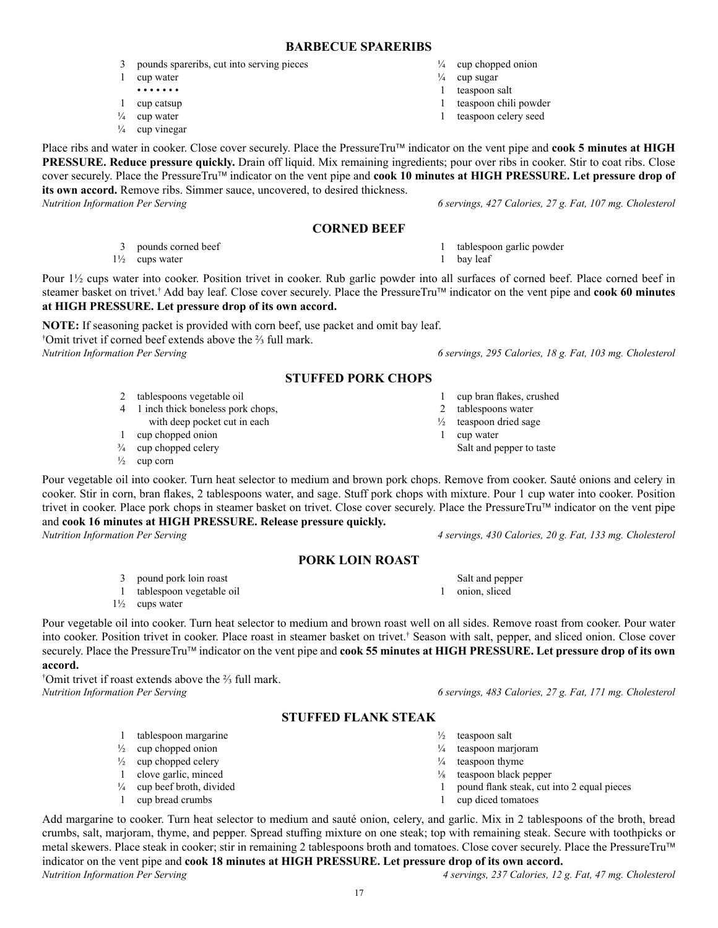# **BARBECUE SPARERIBS**

- 3 pounds spareribs, cut into serving pieces
- 1 cup water • • • • • • •
- 1 cup catsup
- $\frac{1}{4}$  cup water
- $\frac{1}{4}$  cup vinegar

Place ribs and water in cooker. Close cover securely. Place the PressureTru™ indicator on the vent pipe and **cook 5 minutes at HIGH PRESSURE. Reduce pressure quickly.** Drain off liquid. Mix remaining ingredients; pour over ribs in cooker. Stir to coat ribs. Close cover securely. Place the PressureTru<sup>™</sup> indicator on the vent pipe and **cook 10 minutes at HIGH PRESSURE. Let pressure drop of its own accord.** Remove ribs. Simmer sauce, uncovered, to desired thickness.

*Nutrition Information Per Serving 6 servings, 427 Calories, 27 g. Fat, 107 mg. Cholesterol*

# **CORNED BEEF**

3 pounds corned beef

1½ cups water

Pour  $1\frac{1}{2}$  cups water into cooker. Position trivet in cooker. Rub garlic powder into all surfaces of corned beef. Place corned beef in steamer basket on trivet.<sup>†</sup> Add bay leaf. Close cover securely. Place the PressureTru™ indicator on the vent pipe and **cook 60 minutes at HIGH PRESSURE. Let pressure drop of its own accord.**

**NOTE:** If seasoning packet is provided with corn beef, use packet and omit bay leaf. † Omit trivet if corned beef extends above the ⅔ full mark. *Nutrition Information Per Serving 6 servings, 295 Calories, 18 g. Fat, 103 mg. Cholesterol*

# **STUFFED PORK CHOPS**

- 2 tablespoons vegetable oil
- 4 1 inch thick boneless pork chops,
- with deep pocket cut in each
- 1 cup chopped onion
- $\frac{3}{4}$  cup chopped celery
- $\frac{1}{2}$  cup corn

Pour vegetable oil into cooker. Turn heat selector to medium and brown pork chops. Remove from cooker. Sauté onions and celery in cooker. Stir in corn, bran flakes, 2 tablespoons water, and sage. Stuff pork chops with mixture. Pour 1 cup water into cooker. Position trivet in cooker. Place pork chops in steamer basket on trivet. Close cover securely. Place the PressureTru™ indicator on the vent pipe and **cook 16 minutes at HIGH PRESSURE. Release pressure quickly.**

# **PORK LOIN ROAST**

- 3 pound pork loin roast
- 1 tablespoon vegetable oil
- $1\frac{1}{2}$  cups water

Pour vegetable oil into cooker. Turn heat selector to medium and brown roast well on all sides. Remove roast from cooker. Pour water into cooker. Position trivet in cooker. Place roast in steamer basket on trivet.† Season with salt, pepper, and sliced onion. Close cover securely. Place the PressureTru™ indicator on the vent pipe and **cook 55 minutes at HIGH PRESSURE. Let pressure drop of its own accord.**

† Omit trivet if roast extends above the ⅔ full mark. *Nutrition Information Per Serving 6 servings, 483 Calories, 27 g. Fat, 171 mg. Cholesterol*

# **STUFFED FLANK STEAK**

- 1 tablespoon margarine
- $\frac{1}{2}$  cup chopped onion
- $\frac{1}{2}$  cup chopped celery
- 1 clove garlic, minced
- ¼ cup beef broth, divided
- 1 cup bread crumbs

Add margarine to cooker. Turn heat selector to medium and sauté onion, celery, and garlic. Mix in 2 tablespoons of the broth, bread crumbs, salt, marjoram, thyme, and pepper. Spread stuffing mixture on one steak; top with remaining steak. Secure with toothpicks or metal skewers. Place steak in cooker; stir in remaining 2 tablespoons broth and tomatoes. Close cover securely. Place the PressureTru indicator on the vent pipe and **cook 18 minutes at HIGH PRESSURE. Let pressure drop of its own accord.**

 $\frac{1}{4}$  cup chopped onion

- $\frac{1}{4}$  cup sugar
- 1 teaspoon salt 1 teaspoon chili powder
- 1 teaspoon celery seed

 1 cup bran flakes, crushed

1 tablespoon garlic powder

- 2 tablespoons water
- - 1 cup water

1 bay leaf

Salt and pepper to taste

*Nutrition Information Per Serving 4 servings, 430 Calories, 20 g. Fat, 133 mg. Cholesterol*

- Salt and pepper
- 

- $\frac{1}{2}$  teaspoon salt
- $\frac{1}{4}$  teaspoon marjoram
- $\frac{1}{4}$  teaspoon thyme
- ⅛ teaspoon black pepper
- 1 pound flank steak, cut into 2 equal pieces
- 1 cup diced tomatoes
- *Nutrition Information Per Serving 4 servings, 237 Calories, 12 g. Fat, 47 mg. Cholesterol*

1 onion, sliced

- 
- - - ½ teaspoon dried sage
			-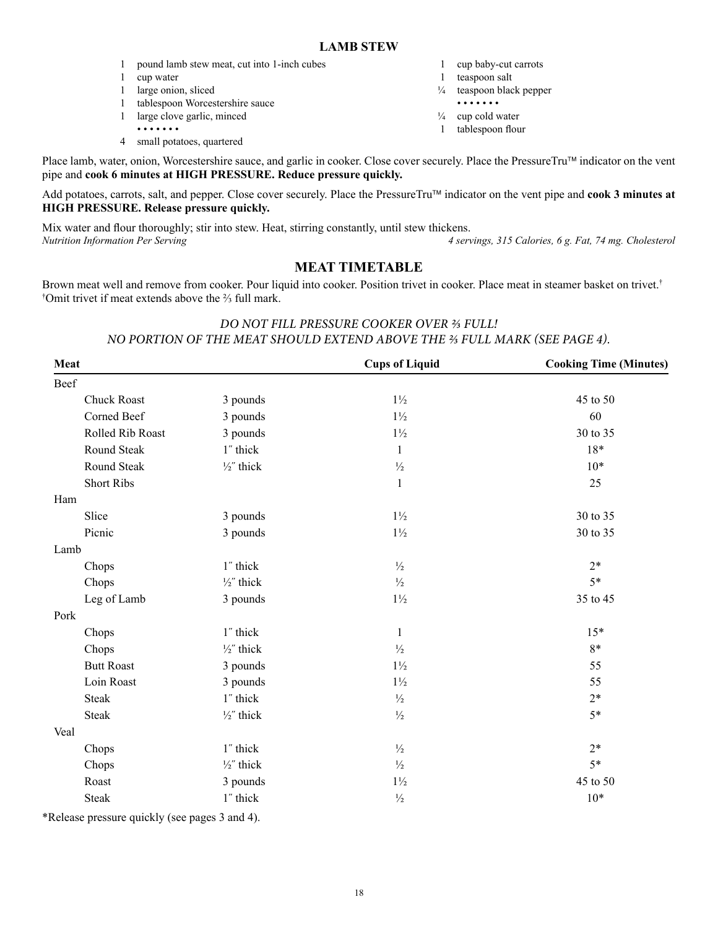- 1 pound lamb stew meat, cut into 1-inch cubes
- 1 cup water
- 1 large onion, sliced
- 1 tablespoon Worcestershire sauce
- 1 large clove garlic, minced
- • • • •
- 4 small potatoes, quartered
- 1 cup baby-cut carrots
- 1 teaspoon salt
- ¼ teaspoon black pepper
- • • • •
- $\frac{1}{4}$  cup cold water
- 1 tablespoon flour

Place lamb, water, onion, Worcestershire sauce, and garlic in cooker. Close cover securely. Place the PressureTru™ indicator on the vent pipe and **cook 6 minutes at HIGH PRESSURE. Reduce pressure quickly.**

Add potatoes, carrots, salt, and pepper. Close cover securely. Place the PressureTru™ indicator on the vent pipe and **cook 3 minutes at HIGH PRESSURE. Release pressure quickly.**

Mix water and flour thoroughly; stir into stew. Heat, stirring constantly, until stew thickens. *Nutrition Information Per Serving 4 servings, 315 Calories, 6 g. Fat, 74 mg. Cholesterol*

# **MEAT TIMETABLE**

Brown meat well and remove from cooker. Pour liquid into cooker. Position trivet in cooker. Place meat in steamer basket on trivet.<sup>†</sup> † Omit trivet if meat extends above the ⅔ full mark.

# *DO NOT FILL PRESSURE COOKER OVER ⅔ FULL! NO PORTION OF THE MEAT SHOULD EXTEND ABOVE THE ⅔ FULL MARK (SEE PAGE 4).*

| Meat              |                       | <b>Cups of Liquid</b> | <b>Cooking Time (Minutes)</b> |
|-------------------|-----------------------|-----------------------|-------------------------------|
| Beef              |                       |                       |                               |
| Chuck Roast       | 3 pounds              | $1\frac{1}{2}$        | 45 to 50                      |
| Corned Beef       | 3 pounds              | $1\frac{1}{2}$        | 60                            |
| Rolled Rib Roast  | 3 pounds              | $1\frac{1}{2}$        | 30 to 35                      |
| Round Steak       | 1" thick              | $\mathbf{1}$          | 18*                           |
| Round Steak       | $\frac{1}{2}$ " thick | $\frac{1}{2}$         | $10*$                         |
| <b>Short Ribs</b> |                       | $\mathbf{1}$          | 25                            |
| Ham               |                       |                       |                               |
| Slice             | 3 pounds              | $1\frac{1}{2}$        | 30 to 35                      |
| Picnic            | 3 pounds              | $1\frac{1}{2}$        | 30 to 35                      |
| Lamb              |                       |                       |                               |
| Chops             | 1" thick              | $\frac{1}{2}$         | $2*$                          |
| Chops             | $\frac{1}{2}$ " thick | $\frac{1}{2}$         | $5*$                          |
| Leg of Lamb       | 3 pounds              | $1\frac{1}{2}$        | 35 to 45                      |
| Pork              |                       |                       |                               |
| Chops             | 1" thick              | $\mathbf{1}$          | $15*$                         |
| Chops             | $\frac{1}{2}$ " thick | $\frac{1}{2}$         | $8*$                          |
| <b>Butt Roast</b> | 3 pounds              | $1\frac{1}{2}$        | 55                            |
| Loin Roast        | 3 pounds              | $1\frac{1}{2}$        | 55                            |
| <b>Steak</b>      | 1" thick              | $\frac{1}{2}$         | $2*$                          |
| <b>Steak</b>      | $\frac{1}{2}$ " thick | $\frac{1}{2}$         | $5*$                          |
| Veal              |                       |                       |                               |
| Chops             | 1" thick              | $\frac{1}{2}$         | $2*$                          |
| Chops             | $\frac{1}{2}$ " thick | $\frac{1}{2}$         | $5*$                          |
| Roast             | 3 pounds              | $1\frac{1}{2}$        | 45 to 50                      |
| <b>Steak</b>      | 1" thick              | $\frac{1}{2}$         | $10*$                         |

\*Release pressure quickly (see pages 3 and 4).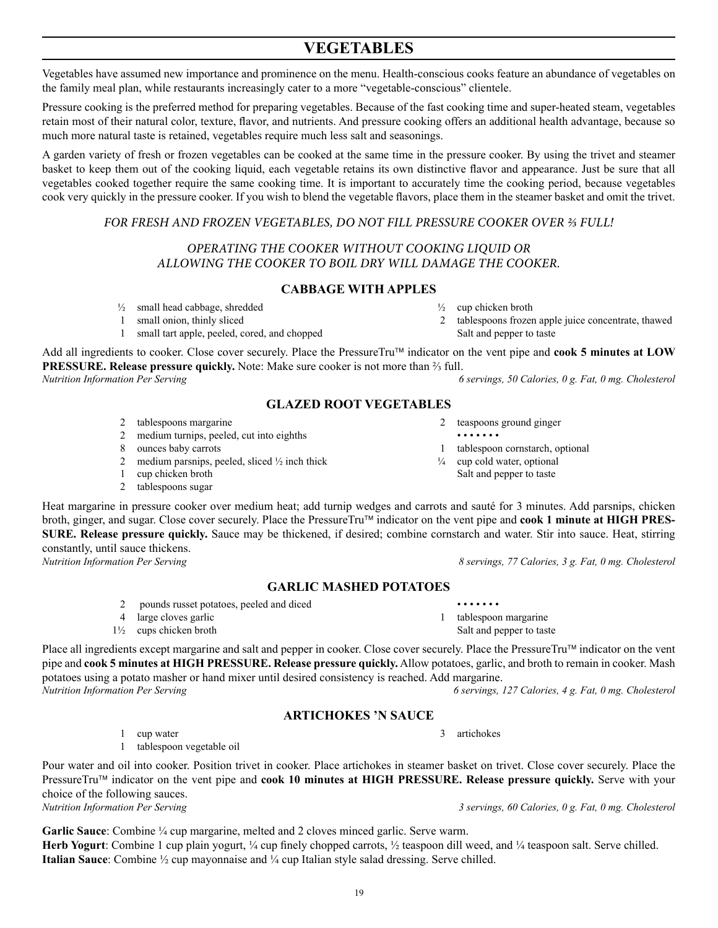# **VEGETABLES**

Vegetables have assumed new importance and prominence on the menu. Health-conscious cooks feature an abundance of vegetables on the family meal plan, while restaurants increasingly cater to a more "vegetable-conscious" clientele.

Pressure cooking is the preferred method for preparing vegetables. Because of the fast cooking time and super-heated steam, vegetables retain most of their natural color, texture, flavor, and nutrients. And pressure cooking offers an additional health advantage, because so much more natural taste is retained, vegetables require much less salt and seasonings.

A garden variety of fresh or frozen vegetables can be cooked at the same time in the pressure cooker. By using the trivet and steamer basket to keep them out of the cooking liquid, each vegetable retains its own distinctive flavor and appearance. Just be sure that all vegetables cooked together require the same cooking time. It is important to accurately time the cooking period, because vegetables cook very quickly in the pressure cooker. If you wish to blend the vegetable flavors, place them in the steamer basket and omit the trivet.

# *FOR FRESH AND FROZEN VEGETABLES, DO NOT FILL PRESSURE COOKER OVER ⅔ FULL!*

# *OPERATING THE COOKER WITHOUT COOKING LIQUID OR ALLOWING THE COOKER TO BOIL DRY WILL DAMAGE THE COOKER.*

# **CABBAGE WITH APPLES**

- $\frac{1}{2}$  cup chicken broth
- 2 tablespoons frozen apple juice concentrate, thawed Salt and pepper to taste

Add all ingredients to cooker. Close cover securely. Place the PressureTru™ indicator on the vent pipe and **cook 5 minutes at LOW PRESSURE. Release pressure quickly.** Note: Make sure cooker is not more than <sup>2</sup>⁄<sub>3</sub> full.<br>*Nutrition Information Per Serving* 6

*Nutrition Information Per Serving 6 servings, 50 Calories, 0 g. Fat, 0 mg. Cholesterol*

# **GLAZED ROOT VEGETABLES**

2 tablespoons margarine

½ small head cabbage, shredded 1 small onion, thinly sliced

- 2 medium turnips, peeled, cut into eighths
- 8 ounces baby carrots
- 2 medium parsnips, peeled, sliced ½ inch thick

1 small tart apple, peeled, cored, and chopped

- 1 cup chicken broth
- 2 tablespoons sugar

Heat margarine in pressure cooker over medium heat; add turnip wedges and carrots and sauté for 3 minutes. Add parsnips, chicken broth, ginger, and sugar. Close cover securely. Place the PressureTru indicator on the vent pipe and **cook 1 minute at HIGH PRES-SURE. Release pressure quickly.** Sauce may be thickened, if desired; combine cornstarch and water. Stir into sauce. Heat, stirring constantly, until sauce thickens.<br>Nutrition Information Per Serving *Nutrition Information Per Serving 8 servings, 77 Calories, 3 g. Fat, 0 mg. Cholesterol*

# **GARLIC MASHED POTATOES**

- 2 pounds russet potatoes, peeled and diced
- 4 large cloves garlic 1½ cups chicken broth

Place all ingredients except margarine and salt and pepper in cooker. Close cover securely. Place the PressureTru<sup> $M$ </sup> indicator on the vent pipe and **cook 5 minutes at HIGH PRESSURE. Release pressure quickly.** Allow potatoes, garlic, and broth to remain in cooker. Mash potatoes using a potato masher or hand mixer until desired consistency is reached. Add margarine. *Nutrition Information Per Serving 6 servings, 127 Calories, 4 g. Fat, 0 mg. Cholesterol*

# **ARTICHOKES 'N SAUCE**

3 artichokes

1 tablespoon vegetable oil

1 cup water

Pour water and oil into cooker. Position trivet in cooker. Place artichokes in steamer basket on trivet. Close cover securely. Place the PressureTru<sup>™</sup> indicator on the vent pipe and **cook 10 minutes at HIGH PRESSURE. Release pressure quickly.** Serve with your choice of the following sauces. *Nutrition Information Per Serving 3 servings, 60 Calories, 0 g. Fat, 0 mg. Cholesterol*

Garlic Sauce: Combine 1/4 cup margarine, melted and 2 cloves minced garlic. Serve warm. **Herb Yogurt**: Combine 1 cup plain yogurt, ¼ cup finely chopped carrots, ½ teaspoon dill weed, and ¼ teaspoon salt. Serve chilled. **Italian Sauce**: Combine ½ cup mayonnaise and ¼ cup Italian style salad dressing. Serve chilled.

2 teaspoons ground ginger

- • • •
	- 1 tablespoon cornstarch, optional
	- $\frac{1}{4}$  cup cold water, optional Salt and pepper to taste

 • • • • • • • 1 tablespoon margarine

Salt and pepper to taste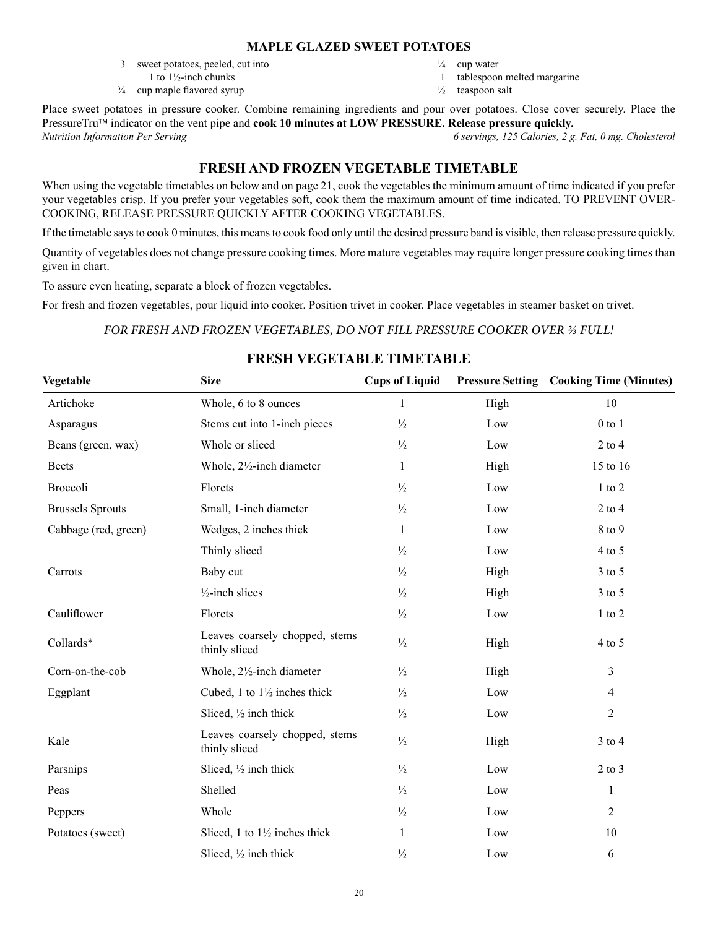#### **MAPLE GLAZED SWEET POTATOES**

- 3 sweet potatoes, peeled, cut into
- 1 to 1½-inch chunks  $\frac{3}{4}$  cup maple flavored syrup
- $\frac{1}{4}$  cup water
- 1 tablespoon melted margarine
- $\frac{1}{2}$  teaspoon salt

Place sweet potatoes in pressure cooker. Combine remaining ingredients and pour over potatoes. Close cover securely. Place the PressureTru<sup>™</sup> indicator on the vent pipe and **cook 10 minutes at LOW PRESSURE. Release pressure quickly.** *Nutrition Information Per Serving 6 servings, 125 Calories, 2 g. Fat, 0 mg. Cholesterol*

# **FRESH AND FROZEN VEGETABLE TIMETABLE**

When using the vegetable timetables on below and on page 21, cook the vegetables the minimum amount of time indicated if you prefer your vegetables crisp. If you prefer your vegetables soft, cook them the maximum amount of time indicated. TO PREVENT OVER-COOKING, RELEASE PRESSURE QUICKLY AFTER COOKING VEGETABLES.

If the timetable saysto cook 0 minutes, this meansto cook food only until the desired pressure band is visible, then release pressure quickly.

Quantity of vegetables does not change pressure cooking times. More mature vegetables may require longer pressure cooking times than given in chart.

To assure even heating, separate a block of frozen vegetables.

For fresh and frozen vegetables, pour liquid into cooker. Position trivet in cooker. Place vegetables in steamer basket on trivet.

# *FOR FRESH AND FROZEN VEGETABLES, DO NOT FILL PRESSURE COOKER OVER ⅔ FULL!*

# **FRESH VEGETABLE TIMETABLE**

| Vegetable               | <b>Size</b>                                     | <b>Cups of Liquid</b> |      | <b>Pressure Setting Cooking Time (Minutes)</b> |
|-------------------------|-------------------------------------------------|-----------------------|------|------------------------------------------------|
| Artichoke               | Whole, 6 to 8 ounces                            | 1                     | High | 10                                             |
| Asparagus               | Stems cut into 1-inch pieces                    | $\frac{1}{2}$         | Low  | $0$ to $1$                                     |
| Beans (green, wax)      | Whole or sliced                                 | $\frac{1}{2}$         | Low  | $2$ to $4$                                     |
| <b>Beets</b>            | Whole, 21/2-inch diameter                       | 1                     | High | 15 to 16                                       |
| Broccoli                | Florets                                         | $\frac{1}{2}$         | Low  | $1$ to $2$                                     |
| <b>Brussels Sprouts</b> | Small, 1-inch diameter                          | $\frac{1}{2}$         | Low  | $2$ to 4                                       |
| Cabbage (red, green)    | Wedges, 2 inches thick                          | $\mathbf{1}$          | Low  | 8 to 9                                         |
|                         | Thinly sliced                                   | $\frac{1}{2}$         | Low  | $4$ to 5                                       |
| Carrots                 | Baby cut                                        | $\frac{1}{2}$         | High | $3$ to $5$                                     |
|                         | $\frac{1}{2}$ -inch slices                      | $\frac{1}{2}$         | High | $3$ to $5$                                     |
| Cauliflower             | Florets                                         | $\frac{1}{2}$         | Low  | $1$ to $2$                                     |
| Collards*               | Leaves coarsely chopped, stems<br>thinly sliced | $\frac{1}{2}$         | High | $4$ to 5                                       |
| Corn-on-the-cob         | Whole, 21/2-inch diameter                       | $\frac{1}{2}$         | High | 3                                              |
| Eggplant                | Cubed, 1 to $1\frac{1}{2}$ inches thick         | $\frac{1}{2}$         | Low  | $\overline{4}$                                 |
|                         | Sliced, 1/2 inch thick                          | $\frac{1}{2}$         | Low  | $\overline{2}$                                 |
| Kale                    | Leaves coarsely chopped, stems<br>thinly sliced | $\frac{1}{2}$         | High | $3$ to $4$                                     |
| Parsnips                | Sliced, 1/2 inch thick                          | $\frac{1}{2}$         | Low  | $2$ to $3$                                     |
| Peas                    | Shelled                                         | $\frac{1}{2}$         | Low  | 1                                              |
| Peppers                 | Whole                                           | $\frac{1}{2}$         | Low  | $\overline{2}$                                 |
| Potatoes (sweet)        | Sliced, 1 to $1\frac{1}{2}$ inches thick        | 1                     | Low  | 10                                             |
|                         | Sliced, $\frac{1}{2}$ inch thick                | $\frac{1}{2}$         | Low  | 6                                              |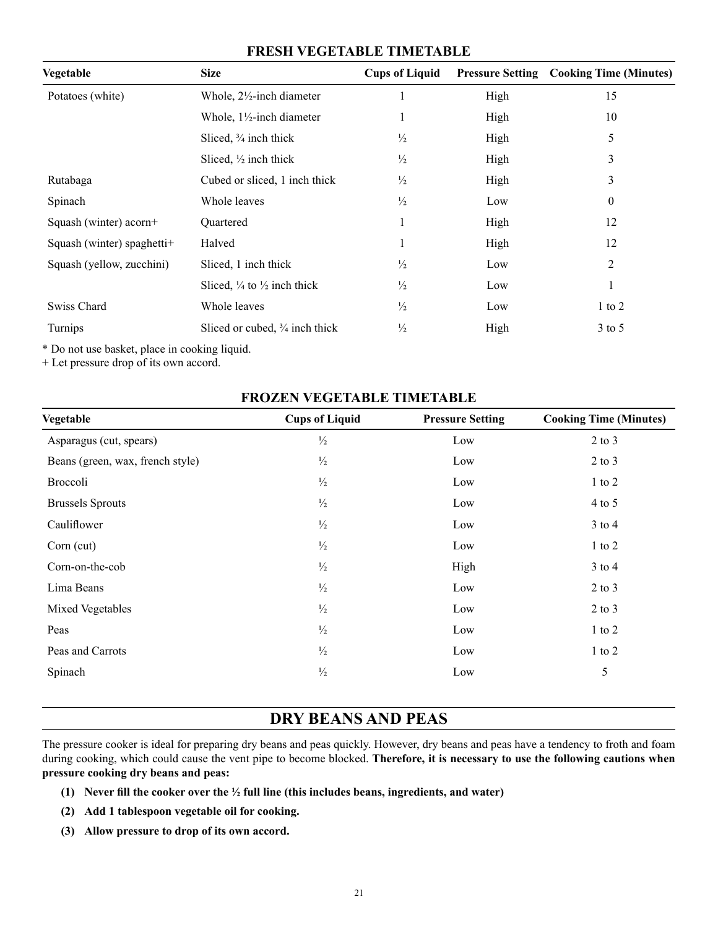# **FRESH VEGETABLE TIMETABLE**

| Vegetable                  | <b>Size</b>                                       | <b>Cups of Liquid</b> |      | <b>Pressure Setting Cooking Time (Minutes)</b> |
|----------------------------|---------------------------------------------------|-----------------------|------|------------------------------------------------|
| Potatoes (white)           | Whole, $2\frac{1}{2}$ -inch diameter              |                       | High | 15                                             |
|                            | Whole, $1\frac{1}{2}$ -inch diameter              |                       | High | 10                                             |
|                            | Sliced, $\frac{3}{4}$ inch thick                  | $\frac{1}{2}$         | High | 5                                              |
|                            | Sliced, $\frac{1}{2}$ inch thick                  | $\frac{1}{2}$         | High | 3                                              |
| Rutabaga                   | Cubed or sliced, 1 inch thick                     | $\frac{1}{2}$         | High | 3                                              |
| Spinach                    | Whole leaves                                      | $\frac{1}{2}$         | Low  | $\theta$                                       |
| Squash (winter) acorn+     | Quartered                                         | 1                     | High | 12                                             |
| Squash (winter) spaghetti+ | Halved                                            |                       | High | 12                                             |
| Squash (yellow, zucchini)  | Sliced, 1 inch thick                              | $\frac{1}{2}$         | Low  | 2                                              |
|                            | Sliced, $\frac{1}{4}$ to $\frac{1}{2}$ inch thick | $\frac{1}{2}$         | Low  | 1                                              |
| Swiss Chard                | Whole leaves                                      | $\frac{1}{2}$         | Low  | $1$ to $2$                                     |
| <b>Turnips</b>             | Sliced or cubed, $\frac{3}{4}$ inch thick         | $\frac{1}{2}$         | High | $3$ to 5                                       |

\* Do not use basket, place in cooking liquid.

+ Let pressure drop of its own accord.

# **FROZEN VEGETABLE TIMETABLE**

| Vegetable                        | <b>Cups of Liquid</b> | <b>Pressure Setting</b> | <b>Cooking Time (Minutes)</b> |
|----------------------------------|-----------------------|-------------------------|-------------------------------|
| Asparagus (cut, spears)          | $\frac{1}{2}$         | Low                     | $2$ to $3$                    |
| Beans (green, wax, french style) | $\frac{1}{2}$         | Low                     | $2$ to $3$                    |
| Broccoli                         | $\frac{1}{2}$         | Low                     | $1$ to $2$                    |
| <b>Brussels Sprouts</b>          | $\frac{1}{2}$         | Low                     | $4$ to 5                      |
| Cauliflower                      | $\frac{1}{2}$         | Low                     | $3$ to $4$                    |
| $Corn$ (cut)                     | $\frac{1}{2}$         | Low                     | $1$ to $2$                    |
| Corn-on-the-cob                  | $\frac{1}{2}$         | High                    | $3$ to $4$                    |
| Lima Beans                       | $\frac{1}{2}$         | Low                     | $2$ to $3$                    |
| Mixed Vegetables                 | $\frac{1}{2}$         | Low                     | $2$ to $3$                    |
| Peas                             | $\frac{1}{2}$         | Low                     | $1$ to $2$                    |
| Peas and Carrots                 | $\frac{1}{2}$         | Low                     | $1$ to $2$                    |
| Spinach                          | $\frac{1}{2}$         | Low                     | 5                             |
|                                  |                       |                         |                               |

# **DRY BEANS AND PEAS**

The pressure cooker is ideal for preparing dry beans and peas quickly. However, dry beans and peas have a tendency to froth and foam during cooking, which could cause the vent pipe to become blocked. **Therefore, it is necessary to use the following cautions when pressure cooking dry beans and peas:**

- **(1) Never fill the cooker over the ½ full line (this includes beans, ingredients, and water)**
- **(2) Add 1 tablespoon vegetable oil for cooking.**
- **(3) Allow pressure to drop of its own accord.**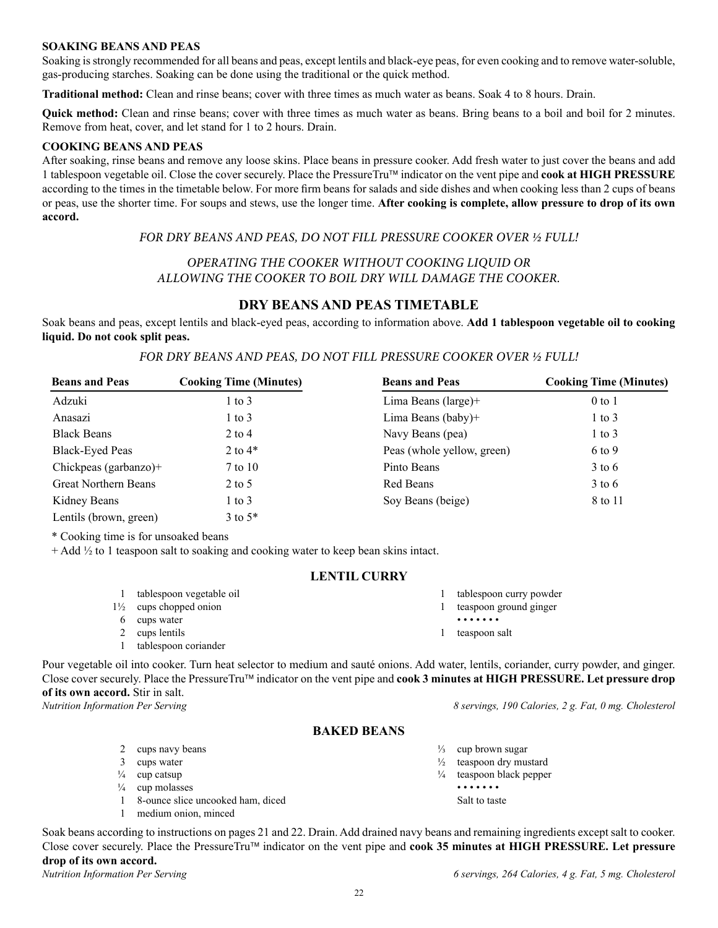#### **SOAKING BEANS AND PEAS**

Soaking isstrongly recommended for all beans and peas, except lentils and black-eye peas, for even cooking and to remove water-soluble, gas-producing starches. Soaking can be done using the traditional or the quick method.

**Traditional method:** Clean and rinse beans; cover with three times as much water as beans. Soak 4 to 8 hours. Drain.

**Quick method:** Clean and rinse beans; cover with three times as much water as beans. Bring beans to a boil and boil for 2 minutes. Remove from heat, cover, and let stand for 1 to 2 hours. Drain.

#### **COOKING BEANS AND PEAS**

After soaking, rinse beans and remove any loose skins. Place beans in pressure cooker. Add fresh water to just cover the beans and add 1 tablespoon vegetable oil. Close the cover securely. Place the PressureTru indicator on the vent pipe and **cook at HIGH PRESSURE** according to the times in the timetable below. For more firm beans for salads and side dishes and when cooking less than 2 cups of beans or peas, use the shorter time. For soups and stews, use the longer time. **After cooking is complete, allow pressure to drop of its own accord.**

#### *FOR DRY BEANS AND PEAS, DO NOT FILL PRESSURE COOKER OVER ½ FULL!*

#### *OPERATING THE COOKER WITHOUT COOKING LIQUID OR ALLOWING THE COOKER TO BOIL DRY WILL DAMAGE THE COOKER.*

# **DRY BEANS AND PEAS TIMETABLE**

Soak beans and peas, except lentils and black-eyed peas, according to information above. **Add 1 tablespoon vegetable oil to cooking liquid. Do not cook split peas.**

#### *FOR DRY BEANS AND PEAS, DO NOT FILL PRESSURE COOKER OVER ½ FULL!*

| <b>Beans and Peas</b>       | <b>Cooking Time (Minutes)</b> | <b>Beans and Peas</b>      | <b>Cooking Time (Minutes)</b> |
|-----------------------------|-------------------------------|----------------------------|-------------------------------|
| Adzuki                      | $1$ to $3$                    | Lima Beans $(large)$ +     | $0$ to $1$                    |
| Anasazi                     | $1$ to $3$                    | Lima Beans (baby)+         | $1$ to $3$                    |
| <b>Black Beans</b>          | $2$ to 4                      | Navy Beans (pea)           | $1$ to $3$                    |
| <b>Black-Eyed Peas</b>      | 2 to $4*$                     | Peas (whole yellow, green) | 6 to 9                        |
| Chickpeas (garbanzo)+       | 7 to 10                       | Pinto Beans                | $3 \text{ to } 6$             |
| <b>Great Northern Beans</b> | $2$ to 5                      | Red Beans                  | $3 \text{ to } 6$             |
| Kidney Beans                | $1 \text{ to } 3$             | Soy Beans (beige)          | 8 to 11                       |
| Lentils (brown, green)      | $3$ to $5*$                   |                            |                               |

\* Cooking time is for unsoaked beans

 $+$  Add  $\frac{1}{2}$  to 1 teaspoon salt to soaking and cooking water to keep bean skins intact.

#### **LENTIL CURRY**

| tablespoon vegetable oil          | tablespoon curry powder |
|-----------------------------------|-------------------------|
| $1\frac{1}{2}$ cups chopped onion | teaspoon ground ginger  |
| 6 cups water                      | .                       |
| 2 cups lentils                    | teaspoon salt           |
| tablespoon coriander              |                         |

Pour vegetable oil into cooker. Turn heat selector to medium and sauté onions. Add water, lentils, coriander, curry powder, and ginger. Close cover securely. Place the PressureTru<sup>™</sup> indicator on the vent pipe and **cook 3 minutes at HIGH PRESSURE. Let pressure drop of its own accord.** Stir in salt.

*Nutrition Information Per Serving 8 servings, 190 Calories, 2 g. Fat, 0 mg. Cholesterol*

#### **BAKED BEANS**

- 2 cups navy beans
- 3 cups water
- $\frac{1}{4}$  cup catsup
- $\frac{1}{4}$  cup molasses
- 1 8-ounce slice uncooked ham, diced
- 1 medium onion, minced
- $\frac{1}{3}$  cup brown sugar
- $\frac{1}{2}$  teaspoon dry mustard
- ¼ teaspoon black pepper • • • • • • •
	- Salt to taste

Soak beans according to instructions on pages 21 and 22. Drain. Add drained navy beans and remaining ingredients except salt to cooker. Close cover securely. Place the PressureTru™ indicator on the vent pipe and **cook 35 minutes at HIGH PRESSURE. Let pressure drop of its own accord.**

*Nutrition Information Per Serving 6 servings, 264 Calories, 4 g. Fat, 5 mg. Cholesterol*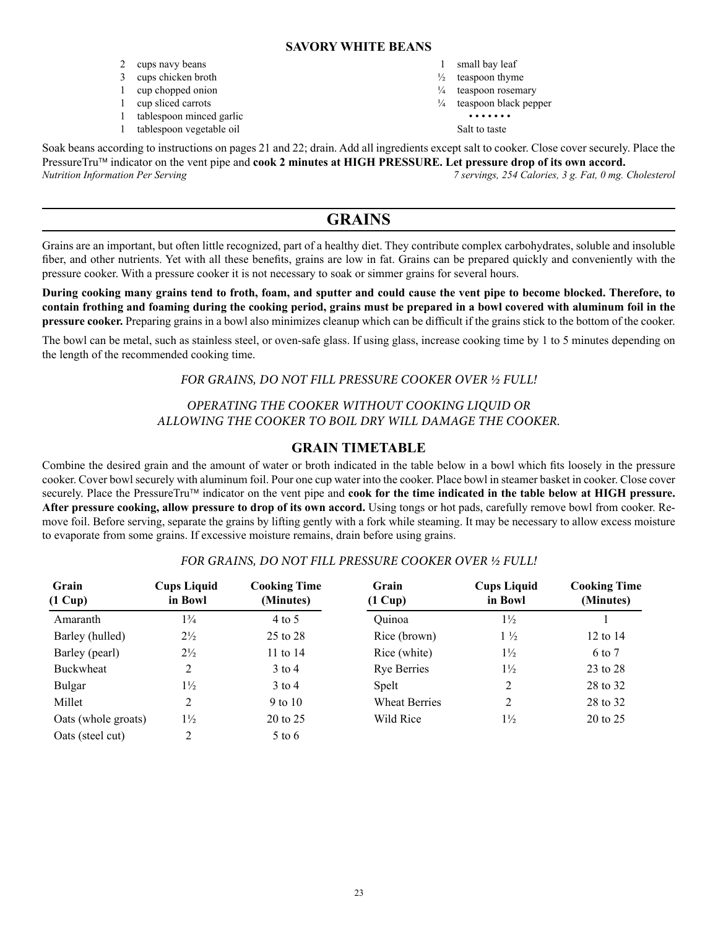#### **SAVORY WHITE BEANS**

- 2 cups navy beans
- 3 cups chicken broth
- 1 cup chopped onion
- 1 cup sliced carrots
- 1 tablespoon minced garlic
- 1 tablespoon vegetable oil
- 1 small bay leaf
- $\frac{1}{2}$  teaspoon thyme
- $\frac{1}{4}$  teaspoon rosemary
- $\frac{1}{4}$  teaspoon black pepper
	- • • • Salt to taste

Soak beans according to instructions on pages 21 and 22; drain. Add all ingredients except salt to cooker. Close cover securely. Place the PressureTru<sup>™</sup> indicator on the vent pipe and **cook 2 minutes at HIGH PRESSURE.** Let pressure drop of its own accord. *Nutrition Information Per Serving 7 servings, 254 Calories, 3 g. Fat, 0 mg. Cholesterol*

# **GRAINS**

Grains are an important, but often little recognized, part of a healthy diet. They contribute complex carbohydrates, soluble and insoluble fiber, and other nutrients. Yet with all these benefits, grains are low in fat. Grains can be prepared quickly and conveniently with the pressure cooker. With a pressure cooker it is not necessary to soak or simmer grains for several hours.

**During cooking many grains tend to froth, foam, and sputter and could cause the vent pipe to become blocked. Therefore, to contain frothing and foaming during the cooking period, grains must be prepared in a bowl covered with aluminum foil in the pressure cooker.** Preparing grains in a bowl also minimizes cleanup which can be difficult if the grains stick to the bottom of the cooker.

The bowl can be metal, such as stainless steel, or oven-safe glass. If using glass, increase cooking time by 1 to 5 minutes depending on the length of the recommended cooking time.

# *FOR GRAINS, DO NOT FILL PRESSURE COOKER OVER ½ FULL!*

# *OPERATING THE COOKER WITHOUT COOKING LIQUID OR ALLOWING THE COOKER TO BOIL DRY WILL DAMAGE THE COOKER.*

# **GRAIN TIMETABLE**

Combine the desired grain and the amount of water or broth indicated in the table below in a bowl which fits loosely in the pressure cooker. Cover bowl securely with aluminum foil. Pour one cup water into the cooker. Place bowl in steamer basket in cooker. Close cover securely. Place the PressureTru™ indicator on the vent pipe and **cook for the time indicated in the table below at HIGH pressure. After pressure cooking, allow pressure to drop of its own accord.** Using tongs or hot pads, carefully remove bowl from cooker. Remove foil. Before serving, separate the grains by lifting gently with a fork while steaming. It may be necessary to allow excess moisture to evaporate from some grains. If excessive moisture remains, drain before using grains.

| Grain<br>$(1 \text{ Cup})$ | <b>Cups Liquid</b><br>in Bowl | <b>Cooking Time</b><br>(Minutes) | Grain<br>$(1 \text{ Cup})$ | <b>Cups Liquid</b><br>in Bowl | <b>Cooking Time</b><br>(Minutes) |
|----------------------------|-------------------------------|----------------------------------|----------------------------|-------------------------------|----------------------------------|
| Amaranth                   | $1\frac{3}{4}$                | 4 to 5                           | Quinoa                     | $1\frac{1}{2}$                |                                  |
| Barley (hulled)            | $2\frac{1}{2}$                | 25 to 28                         | Rice (brown)               | $1\frac{1}{2}$                | 12 to $14$                       |
| Barley (pearl)             | $2\frac{1}{2}$                | 11 to 14                         | Rice (white)               | $1\frac{1}{2}$                | 6 to 7                           |
| Buckwheat                  | 2                             | $3$ to 4                         | <b>Rye Berries</b>         | $1\frac{1}{2}$                | 23 to 28                         |
| <b>Bulgar</b>              | $1\frac{1}{2}$                | $3$ to 4                         | Spelt                      | 2                             | 28 to 32                         |
| Millet                     | 2                             | 9 to 10                          | <b>Wheat Berries</b>       | 2                             | 28 to 32                         |
| Oats (whole groats)        | $1\frac{1}{2}$                | 20 to 25                         | Wild Rice                  | $1\frac{1}{2}$                | 20 to 25                         |
| Oats (steel cut)           |                               | 5 to 6                           |                            |                               |                                  |

# *FOR GRAINS, DO NOT FILL PRESSURE COOKER OVER ½ FULL!*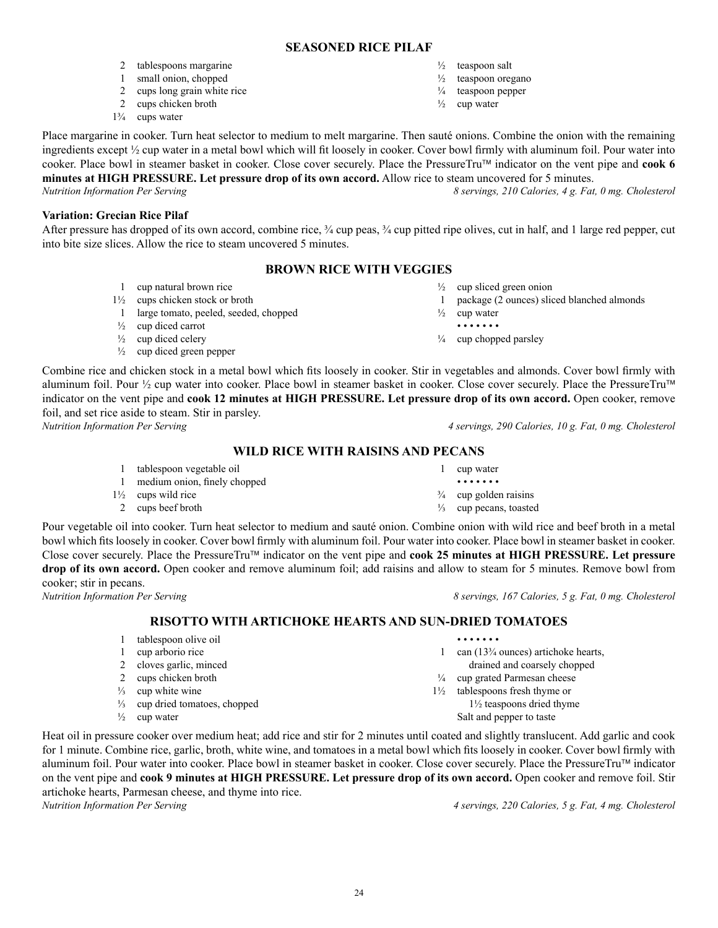$24$ 

# **SEASONED RICE PILAF**

- 2 tablespoons margarine
- 1 small onion, chopped
- 2 cups long grain white rice
- 2 cups chicken broth
- 1¾ cups water
- $\frac{1}{2}$  teaspoon salt
- $\frac{1}{2}$  teaspoon oregano <sup>1</sup>/<sub>4</sub> teaspoon pepper
- $\frac{1}{2}$  cup water

Place margarine in cooker. Turn heat selector to medium to melt margarine. Then sauté onions. Combine the onion with the remaining ingredients except ½ cup water in a metal bowl which will fit loosely in cooker. Cover bowl firmly with aluminum foil. Pour water into cooker. Place bowl in steamer basket in cooker. Close cover securely. Place the PressureTru indicator on the vent pipe and **cook 6 minutes at HIGH PRESSURE. Let pressure drop of its own accord.** Allow rice to steam uncovered for 5 minutes.

*Nutrition Information Per Serving 8 servings, 210 Calories, 4 g. Fat, 0 mg. Cholesterol*

**Variation: Grecian Rice Pilaf**

After pressure has dropped of its own accord, combine rice,  $\frac{3}{4}$  cup peas,  $\frac{3}{4}$  cup pitted ripe olives, cut in half, and 1 large red pepper, cut into bite size slices. Allow the rice to steam uncovered 5 minutes.

# **BROWN RICE WITH VEGGIES**

- 1 cup natural brown rice
- $1\frac{1}{2}$  cups chicken stock or broth
- 1 large tomato, peeled, seeded, chopped
- $\frac{1}{2}$  cup diced carrot
- $\frac{1}{2}$  cup diced celery
- $\frac{1}{2}$  cup diced green pepper

 $\frac{1}{2}$  cup sliced green onion

- 1 package (2 ounces) sliced blanched almonds
- $\frac{1}{2}$  cup water
- • • • •

1 cup water • • • • • • •  $\frac{3}{4}$  cup golden raisins ⅓ cup pecans, toasted

¼ cup chopped parsley

Combine rice and chicken stock in a metal bowl which fits loosely in cooker. Stir in vegetables and almonds. Cover bowl firmly with aluminum foil. Pour  $\frac{1}{2}$  cup water into cooker. Place bowl in steamer basket in cooker. Close cover securely. Place the PressureTru<sup>TM</sup> indicator on the vent pipe and **cook 12 minutes at HIGH PRESSURE. Let pressure drop of its own accord.** Open cooker, remove foil, and set rice aside to steam. Stir in parsley.

*Nutrition Information Per Serving 4 servings, 290 Calories, 10 g. Fat, 0 mg. Cholesterol*

# **WILD RICE WITH RAISINS AND PECANS**

- 1 tablespoon vegetable oil
- 1 medium onion, finely chopped
- $1\frac{1}{2}$  cups wild rice
- 2 cups beef broth

Pour vegetable oil into cooker. Turn heat selector to medium and sauté onion. Combine onion with wild rice and beef broth in a metal bowl which fits loosely in cooker. Cover bowl firmly with aluminum foil. Pour water into cooker. Place bowl in steamer basket in cooker. Close cover securely. Place the PressureTru™ indicator on the vent pipe and **cook 25 minutes at HIGH PRESSURE. Let pressure drop of its own accord.** Open cooker and remove aluminum foil; add raisins and allow to steam for 5 minutes. Remove bowl from cooker; stir in pecans.<br>Nutrition Information Per Serving

*Nutrition Information Per Serving 8 servings, 167 Calories, 5 g. Fat, 0 mg. Cholesterol*

# **RISOTTO WITH ARTICHOKE HEARTS AND SUN-DRIED TOMATOES**

| tablespoon olive oil        |                                               | .                                      |
|-----------------------------|-----------------------------------------------|----------------------------------------|
| cup arborio rice            |                                               | can $(133/4 ounces)$ artichoke hearts, |
|                             |                                               | drained and coarsely chopped           |
|                             | $\frac{1}{4}$                                 | cup grated Parmesan cheese             |
| cup white wine              | $1\frac{1}{2}$                                | tablespoons fresh thyme or             |
| cup dried tomatoes, chopped |                                               | $1\frac{1}{2}$ teaspoons dried thyme   |
| cup water                   |                                               | Salt and pepper to taste               |
|                             | 2 cloves garlic, minced<br>cups chicken broth |                                        |

Heat oil in pressure cooker over medium heat; add rice and stir for 2 minutes until coated and slightly translucent. Add garlic and cook for 1 minute. Combine rice, garlic, broth, white wine, and tomatoes in a metal bowl which fits loosely in cooker. Cover bowl firmly with aluminum foil. Pour water into cooker. Place bowl in steamer basket in cooker. Close cover securely. Place the PressureTru™ indicator on the vent pipe and **cook 9 minutes at HIGH PRESSURE. Let pressure drop of its own accord.** Open cooker and remove foil. Stir artichoke hearts, Parmesan cheese, and thyme into rice.

*Nutrition Information Per Serving 4 servings, 220 Calories, 5 g. Fat, 4 mg. Cholesterol*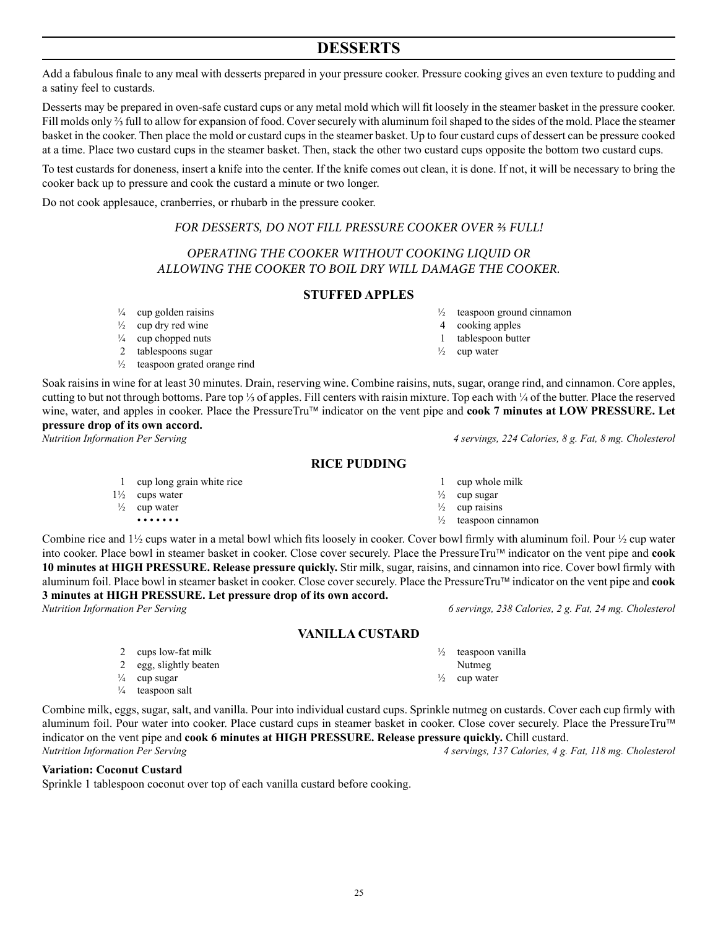$25$ 

# **DESSERTS**

Add a fabulous finale to any meal with desserts prepared in your pressure cooker. Pressure cooking gives an even texture to pudding and a satiny feel to custards.

Desserts may be prepared in oven-safe custard cups or any metal mold which will fit loosely in the steamer basket in the pressure cooker. Fill molds only ⅔ full to allow for expansion of food. Coversecurely with aluminum foilshaped to the sides of the mold. Place the steamer basket in the cooker. Then place the mold or custard cups in the steamer basket. Up to four custard cups of dessert can be pressure cooked at a time. Place two custard cups in the steamer basket. Then, stack the other two custard cups opposite the bottom two custard cups.

To test custards for doneness, insert a knife into the center. If the knife comes out clean, it is done. If not, it will be necessary to bring the cooker back up to pressure and cook the custard a minute or two longer.

Do not cook applesauce, cranberries, or rhubarb in the pressure cooker.

#### *FOR DESSERTS, DO NOT FILL PRESSURE COOKER OVER ⅔ FULL!*

# *OPERATING THE COOKER WITHOUT COOKING LIQUID OR ALLOWING THE COOKER TO BOIL DRY WILL DAMAGE THE COOKER.*

#### **STUFFED APPLES**

- $\frac{1}{2}$  teaspoon ground cinnamon
	- 4 cooking apples
	- 1 tablespoon butter

1 cup whole milk  $\frac{1}{2}$  cup sugar  $\frac{1}{2}$  cup raisins  $\frac{1}{2}$  teaspoon cinnamon

 $\frac{1}{2}$  cup water

Soak raisins in wine for at least 30 minutes. Drain, reserving wine. Combine raisins, nuts, sugar, orange rind, and cinnamon. Core apples, cutting to but not through bottoms. Pare top ⅓ of apples. Fill centers with raisin mixture. Top each with ¼ of the butter. Place the reserved wine, water, and apples in cooker. Place the PressureTru™ indicator on the vent pipe and **cook 7 minutes at LOW PRESSURE.** Let **pressure drop of its own accord.**

*Nutrition Information Per Serving 4 servings, 224 Calories, 8 g. Fat, 8 mg. Cholesterol*

**RICE PUDDING**

- 1 cup long grain white rice
- 1½ cups water
- $\frac{1}{2}$  cup water • • • • • • •

Combine rice and  $1\frac{1}{2}$  cups water in a metal bowl which fits loosely in cooker. Cover bowl firmly with aluminum foil. Pour  $\frac{1}{2}$  cup water into cooker. Place bowl in steamer basket in cooker. Close cover securely. Place the PressureTru indicator on the vent pipe and **cook 10 minutes at HIGH PRESSURE. Release pressure quickly.** Stir milk, sugar, raisins, and cinnamon into rice. Cover bowl firmly with aluminum foil. Place bowl in steamer basket in cooker. Close cover securely. Place the PressureTru indicator on the vent pipe and **cook 3 minutes at HIGH PRESSURE. Let pressure drop of its own accord.**

# **VANILLA CUSTARD**

- ½ teaspoon vanilla
- 

2 egg, slightly beaten  $\frac{1}{4}$  cup sugar

2 cups low-fat milk

 $\frac{1}{4}$  teaspoon salt

Combine milk, eggs, sugar, salt, and vanilla. Pour into individual custard cups. Sprinkle nutmeg on custards. Cover each cup firmly with aluminum foil. Pour water into cooker. Place custard cups in steamer basket in cooker. Close cover securely. Place the PressureTru™ indicator on the vent pipe and **cook 6 minutes at HIGH PRESSURE. Release pressure quickly.** Chill custard. *Nutrition Information Per Serving 4 servings, 137 Calories, 4 g. Fat, 118 mg. Cholesterol*

#### **Variation: Coconut Custard**

Sprinkle 1 tablespoon coconut over top of each vanilla custard before cooking.

 $\frac{1}{4}$  cup golden raisins

- $\frac{1}{2}$  cup dry red wine
- $\frac{1}{4}$  cup chopped nuts
- 2 tablespoons sugar
- $\frac{1}{2}$  teaspoon grated orange rind

*Nutrition Information Per Serving 6 servings, 238 Calories, 2 g. Fat, 24 mg. Cholesterol*

- Nutmeg
	- $\frac{1}{2}$  cup water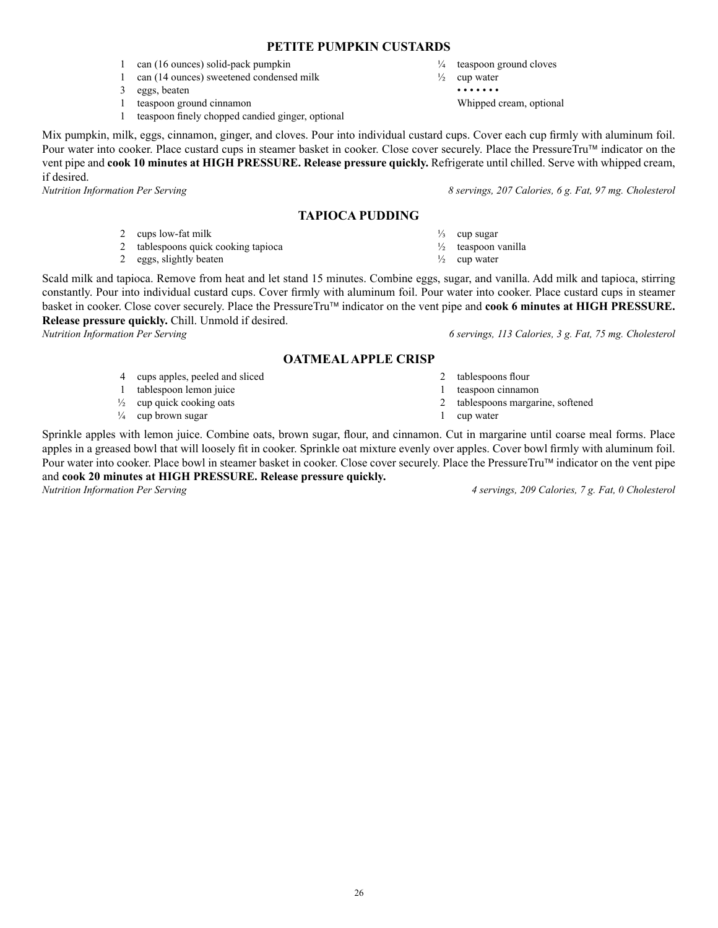### **PETITE PUMPKIN CUSTARDS**

- 1 can (16 ounces) solid-pack pumpkin
- 1 can (14 ounces) sweetened condensed milk
- 3 eggs, beaten
- 1 teaspoon ground cinnamon
- 1 teaspoon finely chopped candied ginger, optional

Mix pumpkin, milk, eggs, cinnamon, ginger, and cloves. Pour into individual custard cups. Cover each cup firmly with aluminum foil. Pour water into cooker. Place custard cups in steamer basket in cooker. Close cover securely. Place the PressureTru™ indicator on the vent pipe and **cook 10 minutes at HIGH PRESSURE. Release pressure quickly.** Refrigerate until chilled. Serve with whipped cream, if desired.

### **TAPIOCA PUDDING**

- 2 cups low-fat milk
- 2 tablespoons quick cooking tapioca
- 2 eggs, slightly beaten

Scald milk and tapioca. Remove from heat and let stand 15 minutes. Combine eggs, sugar, and vanilla. Add milk and tapioca, stirring constantly. Pour into individual custard cups. Cover firmly with aluminum foil. Pour water into cooker. Place custard cups in steamer basket in cooker. Close cover securely. Place the PressureTru indicator on the vent pipe and **cook 6 minutes at HIGH PRESSURE. Release pressure quickly.** Chill. Unmold if desired.

#### **OATMEAL APPLE CRISP**

- 4 cups apples, peeled and sliced
- 1 tablespoon lemon juice
- $\frac{1}{2}$  cup quick cooking oats
- $\frac{1}{4}$  cup brown sugar

Sprinkle apples with lemon juice. Combine oats, brown sugar, flour, and cinnamon. Cut in margarine until coarse meal forms. Place apples in a greased bowl that will loosely fit in cooker. Sprinkle oat mixture evenly over apples. Cover bowl firmly with aluminum foil. Pour water into cooker. Place bowl in steamer basket in cooker. Close cover securely. Place the PressureTru™ indicator on the vent pipe and **cook 20 minutes at HIGH PRESSURE. Release pressure quickly.**

*Nutrition Information Per Serving 4 servings, 209 Calories, 7 g. Fat, 0 Cholesterol*

¼ teaspoon ground cloves  $\frac{1}{2}$  cup water

 • • • • • • • Whipped cream, optional

*Nutrition Information Per Serving 8 servings, 207 Calories, 6 g. Fat, 97 mg. Cholesterol*

- $\frac{1}{3}$  cup sugar
- ½ teaspoon vanilla

2 tablespoons flour 1 teaspoon cinnamon

1 cup water

2 tablespoons margarine, softened

- $\frac{1}{2}$  cup water
- 

*Nutrition Information Per Serving 6 servings, 113 Calories, 3 g. Fat, 75 mg. Cholesterol*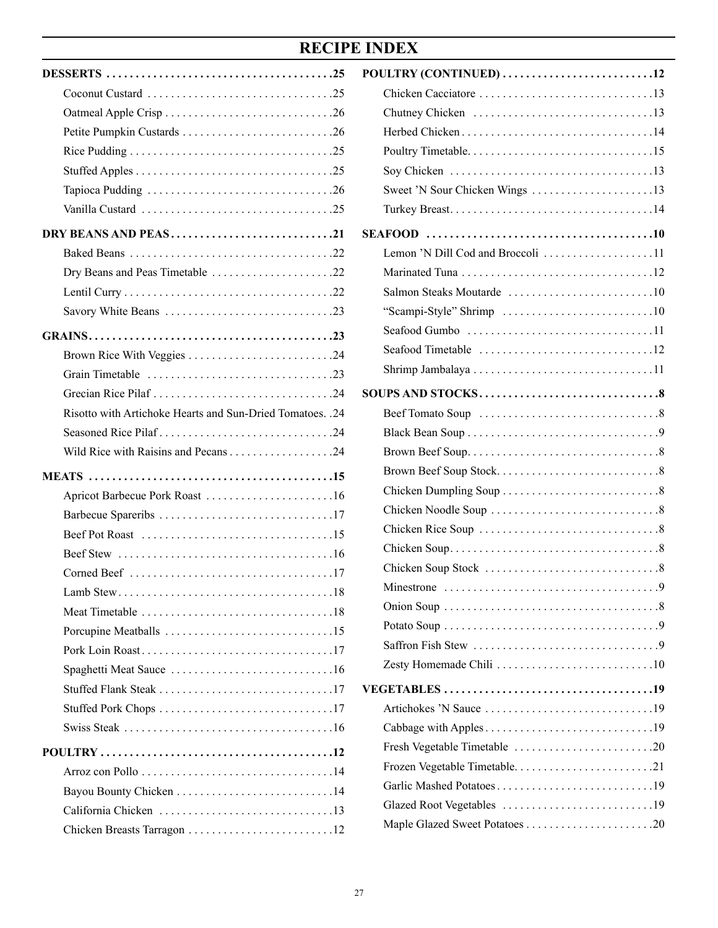# **RECIPE INDEX**

| DRY BEANS AND PEAS21                                                                      |
|-------------------------------------------------------------------------------------------|
|                                                                                           |
| Dry Beans and Peas Timetable 22                                                           |
|                                                                                           |
|                                                                                           |
|                                                                                           |
| Brown Rice With Veggies 24                                                                |
|                                                                                           |
|                                                                                           |
| Risotto with Artichoke Hearts and Sun-Dried Tomatoes. .24                                 |
|                                                                                           |
|                                                                                           |
|                                                                                           |
| Apricot Barbecue Pork Roast 16                                                            |
|                                                                                           |
| Beef Pot Roast $\ldots \ldots \ldots \ldots \ldots \ldots \ldots \ldots \ldots \ldots 15$ |
|                                                                                           |
|                                                                                           |
|                                                                                           |
|                                                                                           |
|                                                                                           |
|                                                                                           |
|                                                                                           |
|                                                                                           |
|                                                                                           |
|                                                                                           |
|                                                                                           |
|                                                                                           |
|                                                                                           |
|                                                                                           |
| Chicken Breasts Tarragon 12                                                               |

| POULTRY (CONTINUED) 12            |
|-----------------------------------|
|                                   |
|                                   |
|                                   |
|                                   |
|                                   |
|                                   |
|                                   |
|                                   |
| Lemon 'N Dill Cod and Broccoli 11 |
|                                   |
|                                   |
|                                   |
|                                   |
|                                   |
|                                   |
|                                   |
|                                   |
|                                   |
|                                   |
|                                   |
|                                   |
|                                   |
|                                   |
|                                   |
|                                   |
|                                   |
|                                   |
|                                   |
|                                   |
|                                   |
|                                   |
|                                   |
|                                   |
| Fresh Vegetable Timetable 20      |
| Frozen Vegetable Timetable21      |
|                                   |
|                                   |
|                                   |
|                                   |